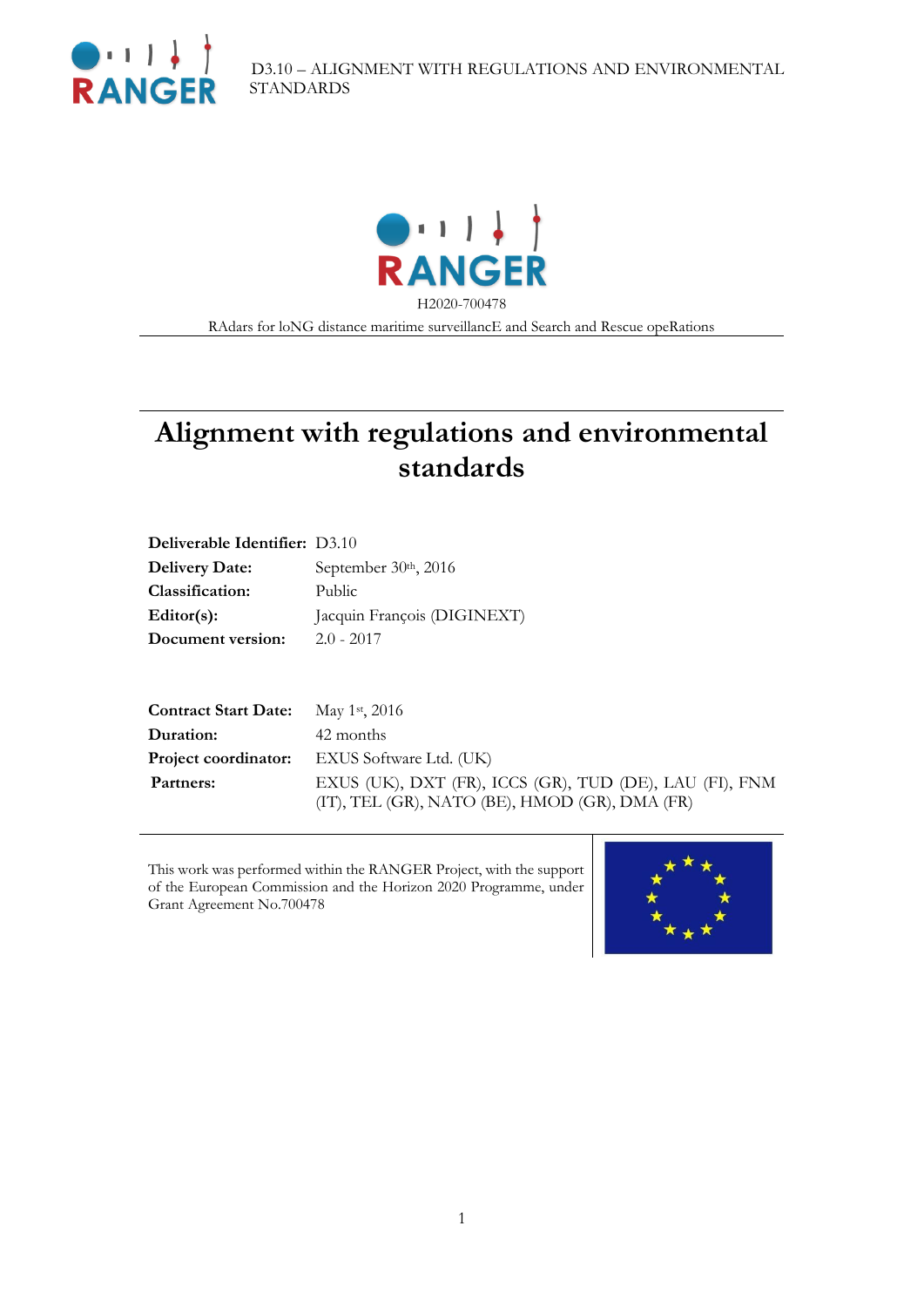



RAdars for loNG distance maritime surveillancE and Search and Rescue opeRations

# **Alignment with regulations and environmental standards**

| Deliverable Identifier: D3.10 |                             |
|-------------------------------|-----------------------------|
| <b>Delivery Date:</b>         | September 30th, 2016        |
| Classification:               | Public                      |
| $Editor(s)$ :                 | Jacquin François (DIGINEXT) |
| Document version:             | $2.0 - 2017$                |

| <b>Contract Start Date:</b> May 1st, 2016 |                                                                                                           |
|-------------------------------------------|-----------------------------------------------------------------------------------------------------------|
| Duration:                                 | 42 months                                                                                                 |
|                                           | <b>Project coordinator:</b> EXUS Software Ltd. (UK)                                                       |
| Partners:                                 | EXUS (UK), DXT (FR), ICCS (GR), TUD (DE), LAU (FI), FNM<br>(IT), TEL (GR), NATO (BE), HMOD (GR), DMA (FR) |

This work was performed within the RANGER Project, with the support of the European Commission and the Horizon 2020 Programme, under Grant Agreement No.700478

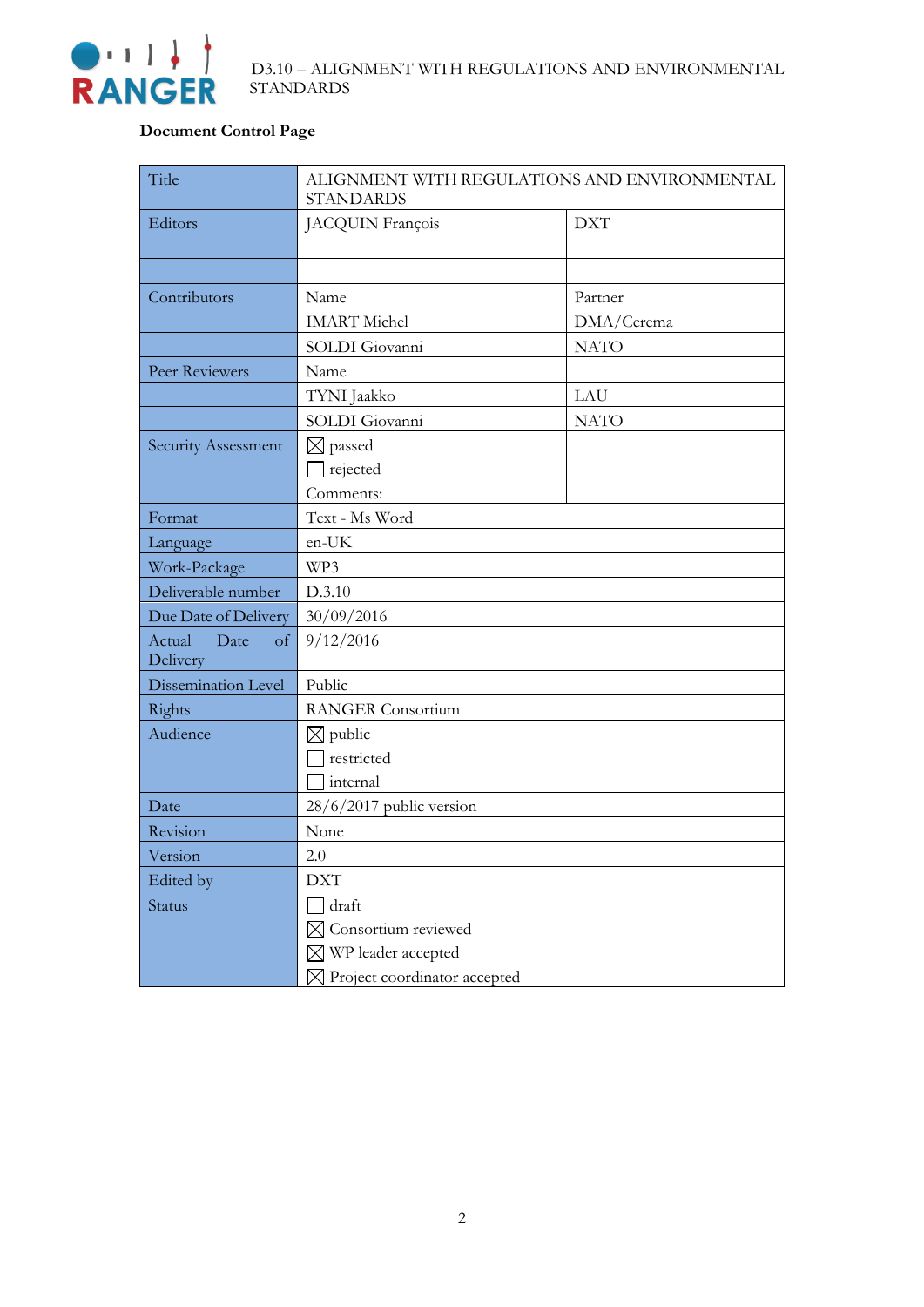

#### **Document Control Page**

| Title                                       | ALIGNMENT WITH REGULATIONS AND ENVIRONMENTAL<br><b>STANDARDS</b> |             |  |
|---------------------------------------------|------------------------------------------------------------------|-------------|--|
| Editors                                     | JACQUIN François                                                 | <b>DXT</b>  |  |
|                                             |                                                                  |             |  |
|                                             |                                                                  |             |  |
| Contributors                                | Name                                                             | Partner     |  |
|                                             | <b>IMART</b> Michel                                              | DMA/Cerema  |  |
|                                             | SOLDI Giovanni                                                   | <b>NATO</b> |  |
| Peer Reviewers                              | Name                                                             |             |  |
|                                             | TYNI Jaakko                                                      | LAU         |  |
|                                             | SOLDI Giovanni                                                   | <b>NATO</b> |  |
| Security Assessment                         | $\boxtimes$ passed                                               |             |  |
|                                             | $\Box$ rejected                                                  |             |  |
|                                             | Comments:                                                        |             |  |
| Format                                      | Text - Ms Word                                                   |             |  |
| Language                                    | en-UK                                                            |             |  |
| Work-Package                                | WP3                                                              |             |  |
| Deliverable number                          | D.3.10                                                           |             |  |
| Due Date of Delivery                        | 30/09/2016                                                       |             |  |
| Actual<br>Date<br><sub>of</sub><br>Delivery | 9/12/2016                                                        |             |  |
| Dissemination Level                         | Public                                                           |             |  |
| Rights                                      | <b>RANGER</b> Consortium                                         |             |  |
| Audience                                    | $\boxtimes$ public                                               |             |  |
|                                             | restricted                                                       |             |  |
|                                             | internal                                                         |             |  |
| Date                                        | 28/6/2017 public version                                         |             |  |
| Revision                                    | None                                                             |             |  |
| Version                                     | 2.0                                                              |             |  |
| Edited by                                   | <b>DXT</b>                                                       |             |  |
| Status                                      | draft                                                            |             |  |
|                                             | Consortium reviewed                                              |             |  |
|                                             | $\boxtimes$ WP leader accepted                                   |             |  |
|                                             | Project coordinator accepted                                     |             |  |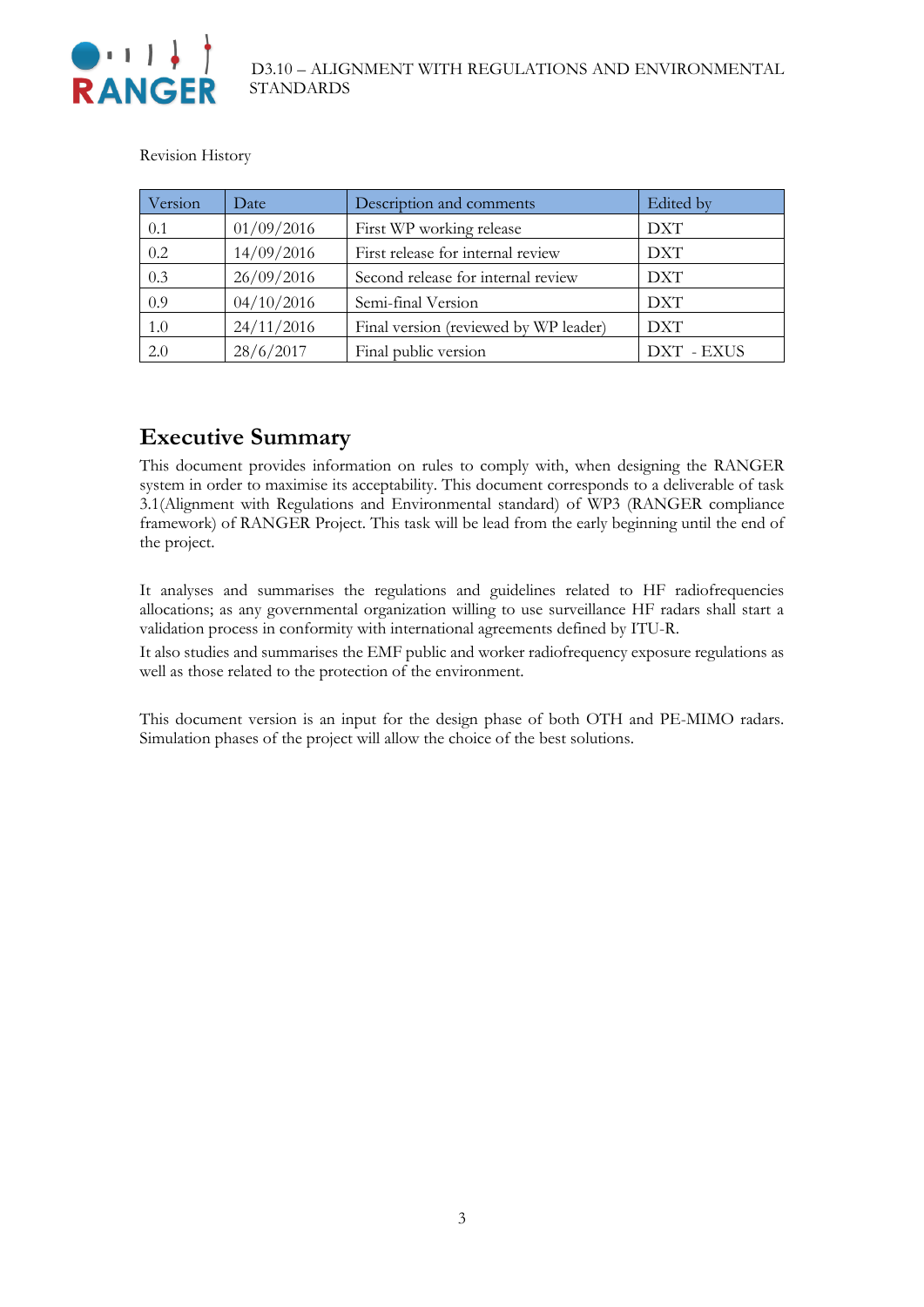

Revision History

| Version | Date       | Description and comments              | Edited by  |
|---------|------------|---------------------------------------|------------|
| 0.1     | 01/09/2016 | First WP working release              | <b>DXT</b> |
| 0.2     | 14/09/2016 | First release for internal review     | <b>DXT</b> |
| 0.3     | 26/09/2016 | Second release for internal review    | <b>DXT</b> |
| 0.9     | 04/10/2016 | Semi-final Version                    | <b>DXT</b> |
| 1.0     | 24/11/2016 | Final version (reviewed by WP leader) | <b>DXT</b> |
| 2.0     | 28/6/2017  | Final public version                  | DXT - EXUS |

### <span id="page-2-0"></span>**Executive Summary**

This document provides information on rules to comply with, when designing the RANGER system in order to maximise its acceptability. This document corresponds to a deliverable of task 3.1(Alignment with Regulations and Environmental standard) of WP3 (RANGER compliance framework) of RANGER Project. This task will be lead from the early beginning until the end of the project.

It analyses and summarises the regulations and guidelines related to HF radiofrequencies allocations; as any governmental organization willing to use surveillance HF radars shall start a validation process in conformity with international agreements defined by ITU-R.

It also studies and summarises the EMF public and worker radiofrequency exposure regulations as well as those related to the protection of the environment.

This document version is an input for the design phase of both OTH and PE-MIMO radars. Simulation phases of the project will allow the choice of the best solutions.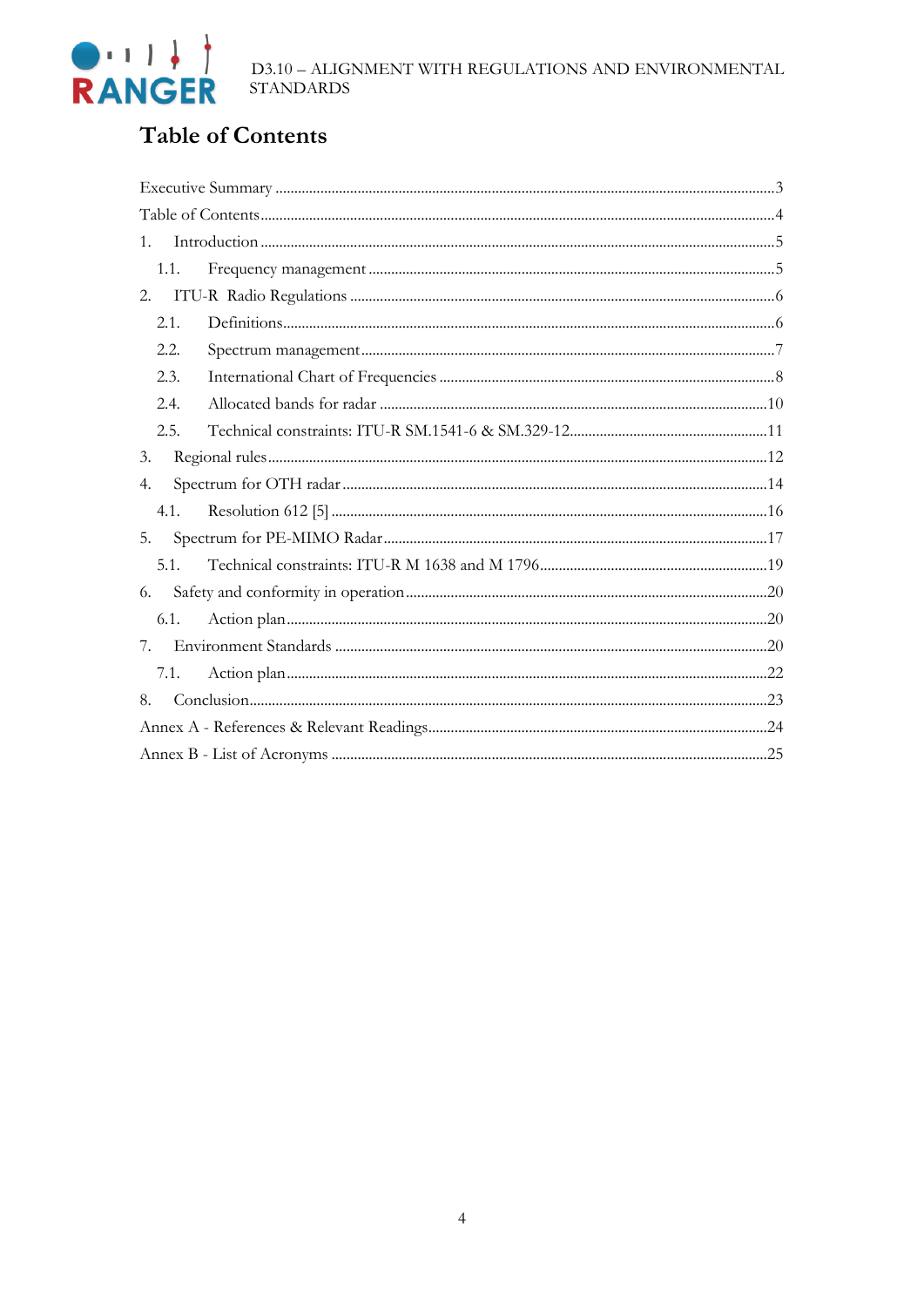# <span id="page-3-0"></span>**Table of Contents**

| 1.   |  |  |  |  |
|------|--|--|--|--|
| 1.1. |  |  |  |  |
| 2.   |  |  |  |  |
| 2.1. |  |  |  |  |
| 2.2. |  |  |  |  |
| 2.3. |  |  |  |  |
| 2.4. |  |  |  |  |
| 2.5. |  |  |  |  |
| 3.   |  |  |  |  |
| 4.   |  |  |  |  |
| 4.1. |  |  |  |  |
| 5.   |  |  |  |  |
| 5.1. |  |  |  |  |
| 6.   |  |  |  |  |
| 6.1. |  |  |  |  |
| 7.   |  |  |  |  |
| 7.1. |  |  |  |  |
| 8.   |  |  |  |  |
|      |  |  |  |  |
|      |  |  |  |  |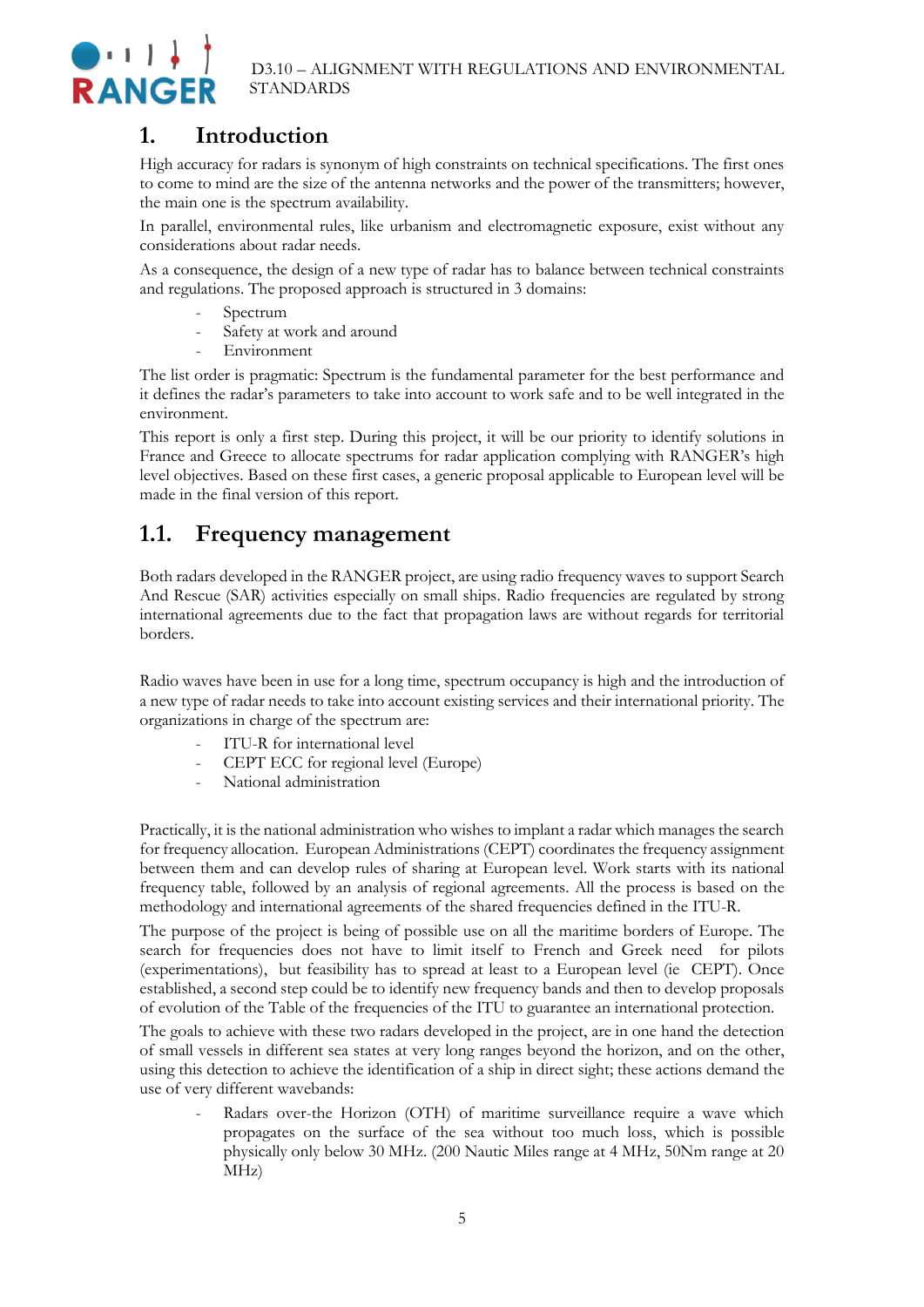

### <span id="page-4-0"></span>**1. Introduction**

High accuracy for radars is synonym of high constraints on technical specifications. The first ones to come to mind are the size of the antenna networks and the power of the transmitters; however, the main one is the spectrum availability.

In parallel, environmental rules, like urbanism and electromagnetic exposure, exist without any considerations about radar needs.

As a consequence, the design of a new type of radar has to balance between technical constraints and regulations. The proposed approach is structured in 3 domains:

- Spectrum
- Safety at work and around
- Environment

The list order is pragmatic: Spectrum is the fundamental parameter for the best performance and it defines the radar's parameters to take into account to work safe and to be well integrated in the environment.

This report is only a first step. During this project, it will be our priority to identify solutions in France and Greece to allocate spectrums for radar application complying with RANGER's high level objectives. Based on these first cases, a generic proposal applicable to European level will be made in the final version of this report.

### <span id="page-4-1"></span>**1.1. Frequency management**

Both radars developed in the RANGER project, are using radio frequency waves to support Search And Rescue (SAR) activities especially on small ships. Radio frequencies are regulated by strong international agreements due to the fact that propagation laws are without regards for territorial borders.

Radio waves have been in use for a long time, spectrum occupancy is high and the introduction of a new type of radar needs to take into account existing services and their international priority. The organizations in charge of the spectrum are:

- ITU-R for international level
- CEPT ECC for regional level (Europe)
- National administration

Practically, it is the national administration who wishes to implant a radar which manages the search for frequency allocation. European Administrations (CEPT) coordinates the frequency assignment between them and can develop rules of sharing at European level. Work starts with its national frequency table, followed by an analysis of regional agreements. All the process is based on the methodology and international agreements of the shared frequencies defined in the ITU-R.

The purpose of the project is being of possible use on all the maritime borders of Europe. The search for frequencies does not have to limit itself to French and Greek need for pilots (experimentations), but feasibility has to spread at least to a European level (ie CEPT). Once established, a second step could be to identify new frequency bands and then to develop proposals of evolution of the Table of the frequencies of the ITU to guarantee an international protection.

The goals to achieve with these two radars developed in the project, are in one hand the detection of small vessels in different sea states at very long ranges beyond the horizon, and on the other, using this detection to achieve the identification of a ship in direct sight; these actions demand the use of very different wavebands:

Radars over-the Horizon (OTH) of maritime surveillance require a wave which propagates on the surface of the sea without too much loss, which is possible physically only below 30 MHz. (200 Nautic Miles range at 4 MHz, 50Nm range at 20 MHz)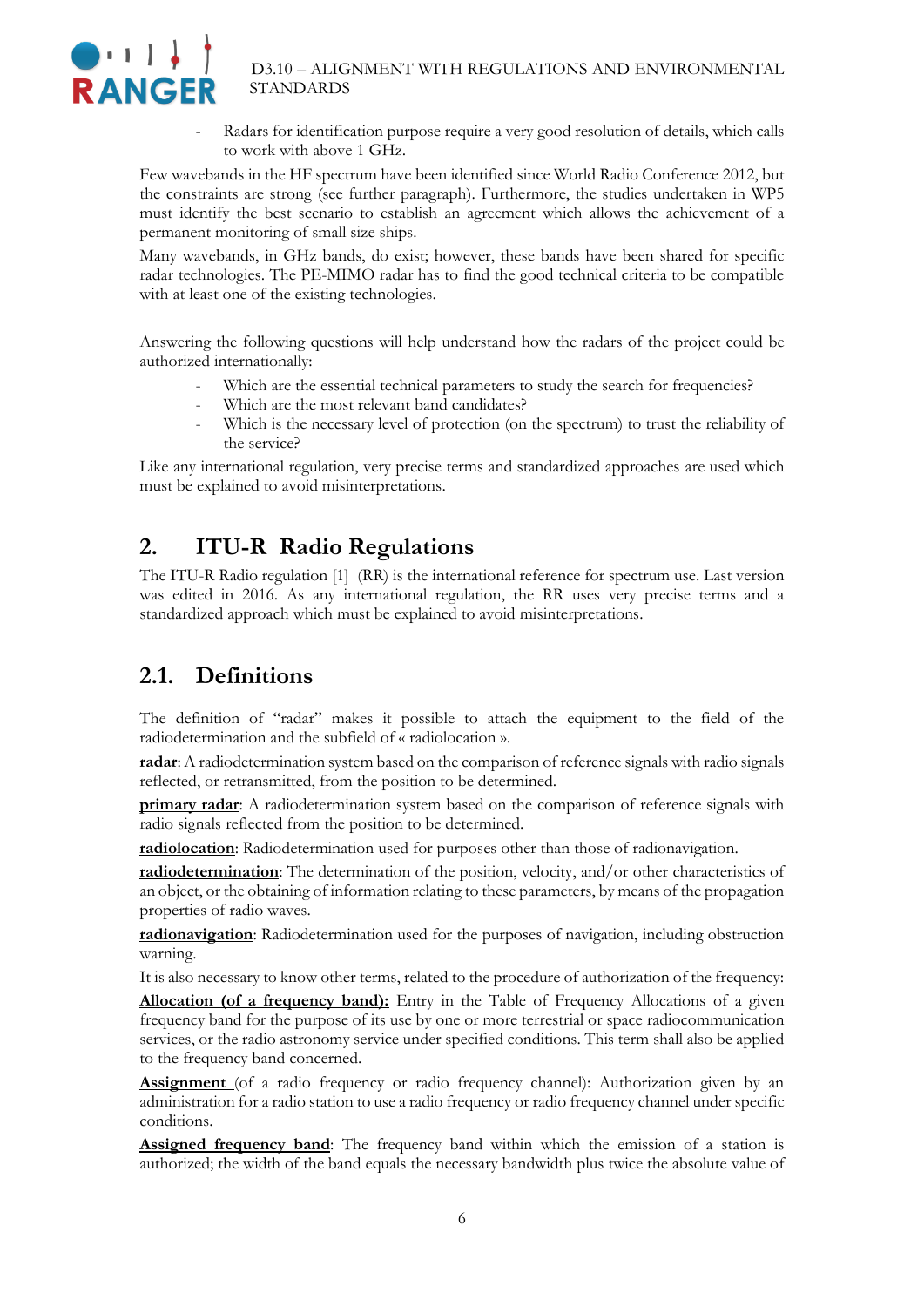

Radars for identification purpose require a very good resolution of details, which calls to work with above 1 GHz.

Few wavebands in the HF spectrum have been identified since World Radio Conference 2012, but the constraints are strong (see further paragraph). Furthermore, the studies undertaken in WP5 must identify the best scenario to establish an agreement which allows the achievement of a permanent monitoring of small size ships.

Many wavebands, in GHz bands, do exist; however, these bands have been shared for specific radar technologies. The PE-MIMO radar has to find the good technical criteria to be compatible with at least one of the existing technologies.

Answering the following questions will help understand how the radars of the project could be authorized internationally:

- Which are the essential technical parameters to study the search for frequencies?
- Which are the most relevant band candidates?
- Which is the necessary level of protection (on the spectrum) to trust the reliability of the service?

Like any international regulation, very precise terms and standardized approaches are used which must be explained to avoid misinterpretations.

### <span id="page-5-0"></span>**2. ITU-R Radio Regulations**

The ITU-R Radio regulation [1] (RR) is the international reference for spectrum use. Last version was edited in 2016. As any international regulation, the RR uses very precise terms and a standardized approach which must be explained to avoid misinterpretations.

### <span id="page-5-1"></span>**2.1. Definitions**

The definition of "radar" makes it possible to attach the equipment to the field of the radiodetermination and the subfield of « radiolocation ».

**radar**: A radiodetermination system based on the comparison of reference signals with radio signals reflected, or retransmitted, from the position to be determined.

**primary radar**: A radiodetermination system based on the comparison of reference signals with radio signals reflected from the position to be determined.

**radiolocation**: Radiodetermination used for purposes other than those of radionavigation.

**radiodetermination**: The determination of the position, velocity, and/or other characteristics of an object, or the obtaining of information relating to these parameters, by means of the propagation properties of radio waves.

**radionavigation**: Radiodetermination used for the purposes of navigation, including obstruction warning.

It is also necessary to know other terms, related to the procedure of authorization of the frequency:

**Allocation (of a frequency band):** Entry in the Table of Frequency Allocations of a given frequency band for the purpose of its use by one or more terrestrial or space radiocommunication services, or the radio astronomy service under specified conditions. This term shall also be applied to the frequency band concerned.

**Assignment** (of a radio frequency or radio frequency channel): Authorization given by an administration for a radio station to use a radio frequency or radio frequency channel under specific conditions.

**Assigned frequency band**: The frequency band within which the emission of a station is authorized; the width of the band equals the necessary bandwidth plus twice the absolute value of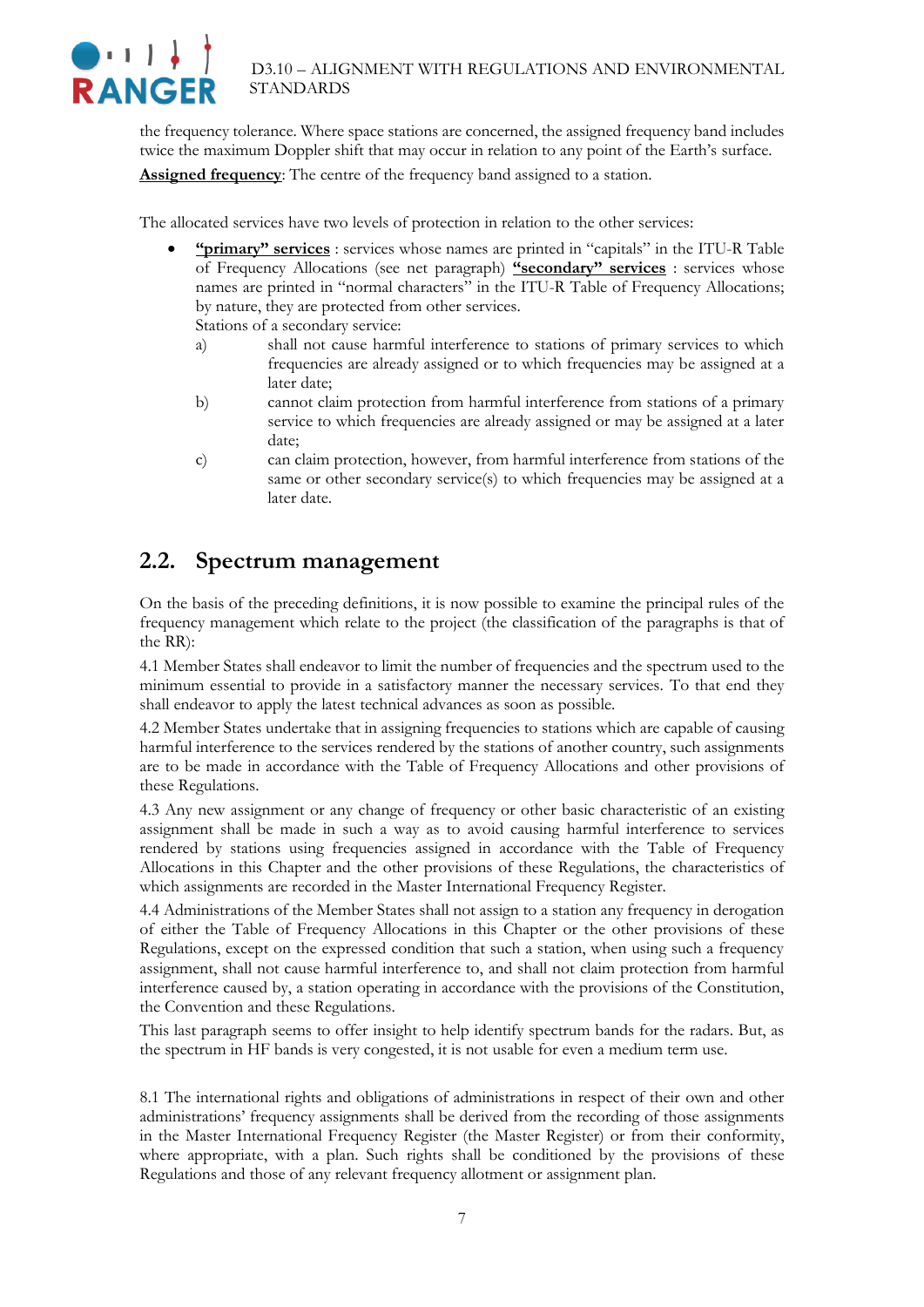

the frequency tolerance. Where space stations are concerned, the assigned frequency band includes twice the maximum Doppler shift that may occur in relation to any point of the Earth's surface. **Assigned frequency**: The centre of the frequency band assigned to a station.

The allocated services have two levels of protection in relation to the other services:

- **"primary" services** : services whose names are printed in "capitals" in the ITU-R Table of Frequency Allocations (see net paragraph) **"secondary" services** : services whose names are printed in "normal characters" in the ITU-R Table of Frequency Allocations; by nature, they are protected from other services. Stations of a secondary service:
	- a) shall not cause harmful interference to stations of primary services to which frequencies are already assigned or to which frequencies may be assigned at a later date;
	- b) cannot claim protection from harmful interference from stations of a primary service to which frequencies are already assigned or may be assigned at a later date;
	- c) can claim protection, however, from harmful interference from stations of the same or other secondary service(s) to which frequencies may be assigned at a later date.

### <span id="page-6-0"></span>**2.2. Spectrum management**

On the basis of the preceding definitions, it is now possible to examine the principal rules of the frequency management which relate to the project (the classification of the paragraphs is that of the RR):

4.1 Member States shall endeavor to limit the number of frequencies and the spectrum used to the minimum essential to provide in a satisfactory manner the necessary services. To that end they shall endeavor to apply the latest technical advances as soon as possible.

4.2 Member States undertake that in assigning frequencies to stations which are capable of causing harmful interference to the services rendered by the stations of another country, such assignments are to be made in accordance with the Table of Frequency Allocations and other provisions of these Regulations.

4.3 Any new assignment or any change of frequency or other basic characteristic of an existing assignment shall be made in such a way as to avoid causing harmful interference to services rendered by stations using frequencies assigned in accordance with the Table of Frequency Allocations in this Chapter and the other provisions of these Regulations, the characteristics of which assignments are recorded in the Master International Frequency Register.

4.4 Administrations of the Member States shall not assign to a station any frequency in derogation of either the Table of Frequency Allocations in this Chapter or the other provisions of these Regulations, except on the expressed condition that such a station, when using such a frequency assignment, shall not cause harmful interference to, and shall not claim protection from harmful interference caused by, a station operating in accordance with the provisions of the Constitution, the Convention and these Regulations.

This last paragraph seems to offer insight to help identify spectrum bands for the radars. But, as the spectrum in HF bands is very congested, it is not usable for even a medium term use.

8.1 The international rights and obligations of administrations in respect of their own and other administrations' frequency assignments shall be derived from the recording of those assignments in the Master International Frequency Register (the Master Register) or from their conformity, where appropriate, with a plan. Such rights shall be conditioned by the provisions of these Regulations and those of any relevant frequency allotment or assignment plan.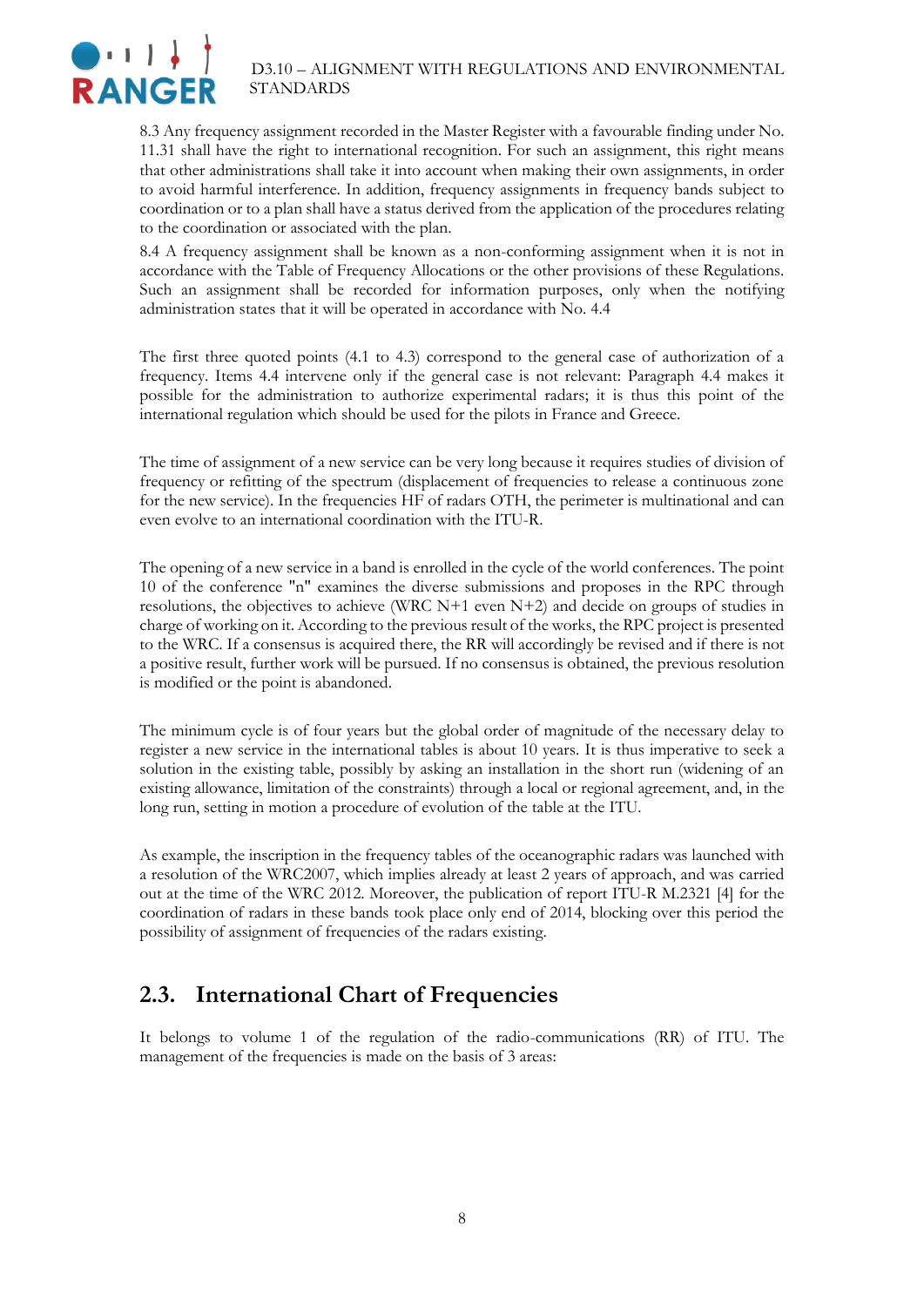

8.3 Any frequency assignment recorded in the Master Register with a favourable finding under No. 11.31 shall have the right to international recognition. For such an assignment, this right means that other administrations shall take it into account when making their own assignments, in order to avoid harmful interference. In addition, frequency assignments in frequency bands subject to coordination or to a plan shall have a status derived from the application of the procedures relating to the coordination or associated with the plan.

8.4 A frequency assignment shall be known as a non-conforming assignment when it is not in accordance with the Table of Frequency Allocations or the other provisions of these Regulations. Such an assignment shall be recorded for information purposes, only when the notifying administration states that it will be operated in accordance with No. 4.4

The first three quoted points (4.1 to 4.3) correspond to the general case of authorization of a frequency. Items 4.4 intervene only if the general case is not relevant: Paragraph 4.4 makes it possible for the administration to authorize experimental radars; it is thus this point of the international regulation which should be used for the pilots in France and Greece.

The time of assignment of a new service can be very long because it requires studies of division of frequency or refitting of the spectrum (displacement of frequencies to release a continuous zone for the new service). In the frequencies HF of radars OTH, the perimeter is multinational and can even evolve to an international coordination with the ITU-R.

The opening of a new service in a band is enrolled in the cycle of the world conferences. The point 10 of the conference "n" examines the diverse submissions and proposes in the RPC through resolutions, the objectives to achieve (WRC N+1 even N+2) and decide on groups of studies in charge of working on it. According to the previous result of the works, the RPC project is presented to the WRC. If a consensus is acquired there, the RR will accordingly be revised and if there is not a positive result, further work will be pursued. If no consensus is obtained, the previous resolution is modified or the point is abandoned.

The minimum cycle is of four years but the global order of magnitude of the necessary delay to register a new service in the international tables is about 10 years. It is thus imperative to seek a solution in the existing table, possibly by asking an installation in the short run (widening of an existing allowance, limitation of the constraints) through a local or regional agreement, and, in the long run, setting in motion a procedure of evolution of the table at the ITU.

As example, the inscription in the frequency tables of the oceanographic radars was launched with a resolution of the WRC2007, which implies already at least 2 years of approach, and was carried out at the time of the WRC 2012. Moreover, the publication of report ITU-R M.2321 [4] for the coordination of radars in these bands took place only end of 2014, blocking over this period the possibility of assignment of frequencies of the radars existing.

### <span id="page-7-0"></span>**2.3. International Chart of Frequencies**

It belongs to volume 1 of the regulation of the radio-communications (RR) of ITU. The management of the frequencies is made on the basis of 3 areas: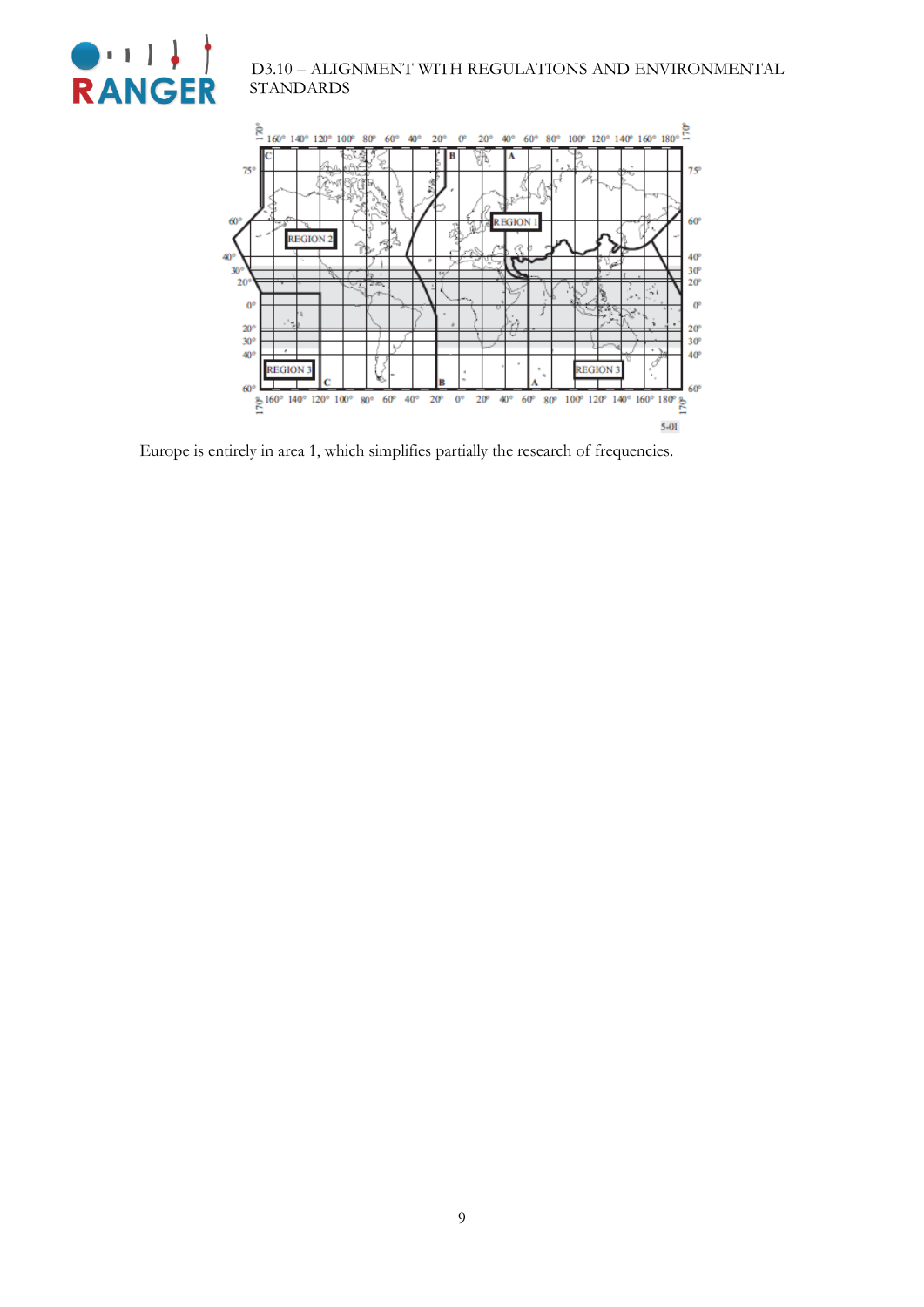



Europe is entirely in area 1, which simplifies partially the research of frequencies.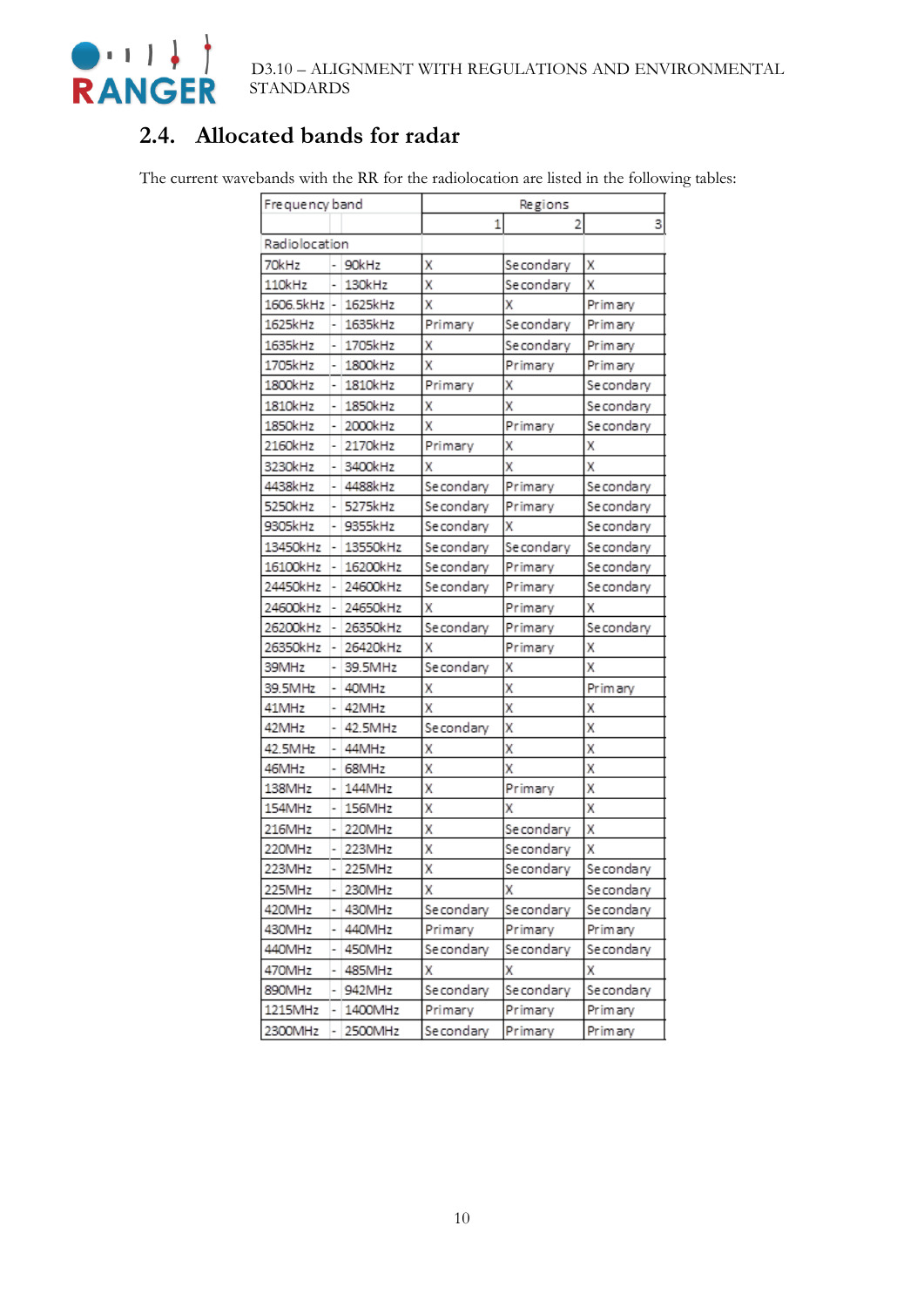

### <span id="page-9-0"></span>**2.4. Allocated bands for radar**

The current wavebands with the RR for the radiolocation are listed in the following tables:

| Frequency band |   |          | Regions    |            |           |
|----------------|---|----------|------------|------------|-----------|
|                |   |          | 1          |            | 3         |
| Radiolocation  |   |          |            |            |           |
| 70kHz          |   | 90kHz    | Х          | Secondary  | х         |
| 110kHz         |   | 130kHz   | X          | Secondary  | X         |
| 1606.5kHz -    |   | 1625kHz  | X          | Χ          | Primary   |
| 1625kHz        |   | 1635kHz  | Primary    | Secondary  | Primary   |
| 1635kHz        |   | 1705kHz  | Χ          | Secondary  | Primary   |
| 1705kHz        |   | 1800kHz  | X          | Primary    | Primary   |
| 1800kHz        |   | 1810kHz  | Primary    | X          | Secondary |
| 1810kHz        |   | 1850kHz  | X          | X          | Secondary |
| 1850kHz        |   | 2000kHz  | X          | Primary    | Secondary |
| 2160kHz        |   | 2170kHz  | Primary    | Χ          | Χ         |
| 3230kHz        |   | 3400kHz  | Χ          | X          | х         |
| 4438kHz        | ۰ | 4488kHz  | Secondary  | Primary    | Secondary |
| 5250kHz        |   | 5275kHz  | Secondary  | Primary    | Secondary |
| 9305kHz        |   | 9355kHz  | Secondary  | X          | Secondary |
| 13450kHz       |   | 13550kHz | Secondary  | Secondary  | Secondary |
| 16100kHz       |   | 16200kHz | Se condary | Primary    | Secondary |
| 24450kHz       |   | 24600kHz | Se condary | Primary    | Secondary |
| 24600kHz       | ۰ | 24650kHz | X          | Primary    | χ         |
| 26200kHz       |   | 26350kHz | Secondary  | Primary    | Secondary |
| 26350kHz       |   | 26420kHz | X          | Primary    | х         |
| 39MHz          |   | 39.5MHz  | Secondary  | x          | X         |
| 39.5MHz        |   | 40MHz    | Χ          | X          | Primary   |
| 41MHz          |   | 42MHz    | X          | X          | x         |
| 42MHz          |   | 42.5MHz  | Secondary  | X          | Χ         |
| 42.5MHz        |   | 44MHz    | Χ          | X          | Χ         |
| 46MHz          |   | 68MHz    | X          | x          | X         |
| 138MHz         |   | 144MHz   | X          | Primary    | Χ         |
| 154MHz         | ٠ | 156MHz   | X          | Х          | X         |
| 216MHz         |   | 220MHz   | X          | Se condary | X         |
| 220MHz         |   | 223MHz   | X          | Secondary  | х         |
| 223MHz         | ٠ | 225MHz   | X          | Secondary  | Secondary |
| 225MHz         |   | 230MHz   | X          | л          | Secondary |
| 420MHz         |   | 430MHz   | Se condary | Se condary | Secondary |
| 430MHz         |   | 440MHz   | Primary    | Primary    | Primary   |
| 440MHz         | - | 450MHz   | Se condary | Secondary  | Secondary |
| 470MHz         | ۰ | 485MHz   | x          | Х          | Χ         |
| 890MHz         |   | 942MHz   | Secondary  | Secondary  | Secondary |
| 1215MHz        |   | 1400MHz  | Primary    | Primary    | Primary   |
| 2300MHz        | ۰ | 2500MHz  | Se condary | Primary    | Primary   |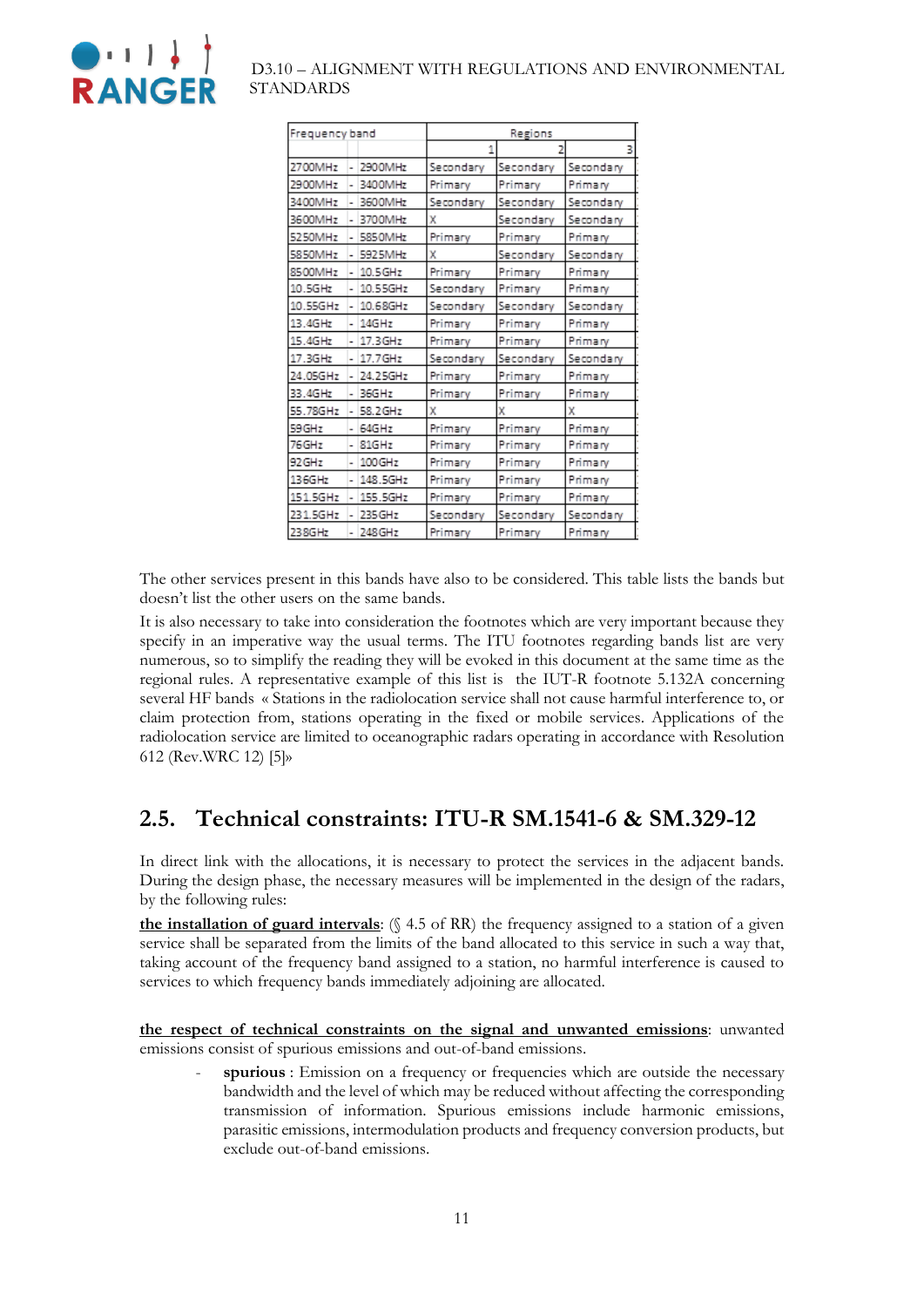

| Frequency band |   |            | Regions   |           |           |
|----------------|---|------------|-----------|-----------|-----------|
|                |   |            | 1         |           |           |
| 2700MHz        | ٠ | 2900MHz    | Secondary | Secondary | Secondary |
| 2900MHz        | ٠ | 3400MHz    | Primary   | Primary   | Primary   |
| 3400MHz        | ٠ | 3600MHz    | Secondary | Secondary | Secondary |
| 3600MHz        |   | 3700MHz    | x         | Secondary | Secondary |
| 5250MHz        |   | 5850MHz    | Primary   | Primary   | Primary   |
| 5850MHz        |   | 5925MHz    | χ         | Secondary | Secondary |
| 8500MHz        |   | $10.5$ GHz | Primary   | Primary   | Primary   |
| 10.5GHz        |   | 10.55GHz   | Secondary | Primary   | Primary   |
| 10.55GHz       |   | 10.68GHz   | Secondary | Secondary | Secondary |
| 13.4GHz        |   | 14GHz      | Primary   | Primary   | Primary   |
| 15.4GHz        |   | 17.3GHz    | Primary   | Primary   | Primary   |
| 17.3GHz        | ۰ | 17.7GHz    | Secondary | Secondary | Secondary |
| 24.05GHz       | ۰ | 24.25GHz   | Primary   | Primary   | Primary   |
| 33.4GHz        | ۰ | 36GHz      | Primary   | Primary   | Primary   |
| 55.78GHz       | ۰ | 58.2 GHz   | χ         | x         | χ         |
| 59 GHz         |   | 64GHz      | Primary   | Primary   | Primary   |
| 76GHz          | ۰ | 81GHz      | Primary   | Primary   | Primary   |
| 92 GHz         |   | 100GHz     | Primary   | Primary   | Primary   |
| 136GHz         |   | 148.5GHz   | Primary   | Primary   | Primary   |
| 151.5GHz       |   | 155.5GHz   | Primary   | Primary   | Primary   |
| 231.5GHz       | ۰ | 235 GHz    | Secondary | Secondary | Secondary |
| 238GHz         |   | 248 GHz    | Primary   | Primary   | Primary   |

The other services present in this bands have also to be considered. This table lists the bands but doesn't list the other users on the same bands.

It is also necessary to take into consideration the footnotes which are very important because they specify in an imperative way the usual terms. The ITU footnotes regarding bands list are very numerous, so to simplify the reading they will be evoked in this document at the same time as the regional rules. A representative example of this list is the IUT-R footnote 5.132A concerning several HF bands « Stations in the radiolocation service shall not cause harmful interference to, or claim protection from, stations operating in the fixed or mobile services. Applications of the radiolocation service are limited to oceanographic radars operating in accordance with Resolution 612 (Rev.WRC 12) [5]»

### <span id="page-10-0"></span>**2.5. Technical constraints: ITU-R SM.1541-6 & SM.329-12**

In direct link with the allocations, it is necessary to protect the services in the adjacent bands. During the design phase, the necessary measures will be implemented in the design of the radars, by the following rules:

**the installation of guard intervals**: (§ 4.5 of RR) the frequency assigned to a station of a given service shall be separated from the limits of the band allocated to this service in such a way that, taking account of the frequency band assigned to a station, no harmful interference is caused to services to which frequency bands immediately adjoining are allocated.

**the respect of technical constraints on the signal and unwanted emissions**: unwanted emissions consist of spurious emissions and out-of-band emissions.

spurious : Emission on a frequency or frequencies which are outside the necessary bandwidth and the level of which may be reduced without affecting the corresponding transmission of information. Spurious emissions include harmonic emissions, parasitic emissions, intermodulation products and frequency conversion products, but exclude out-of-band emissions.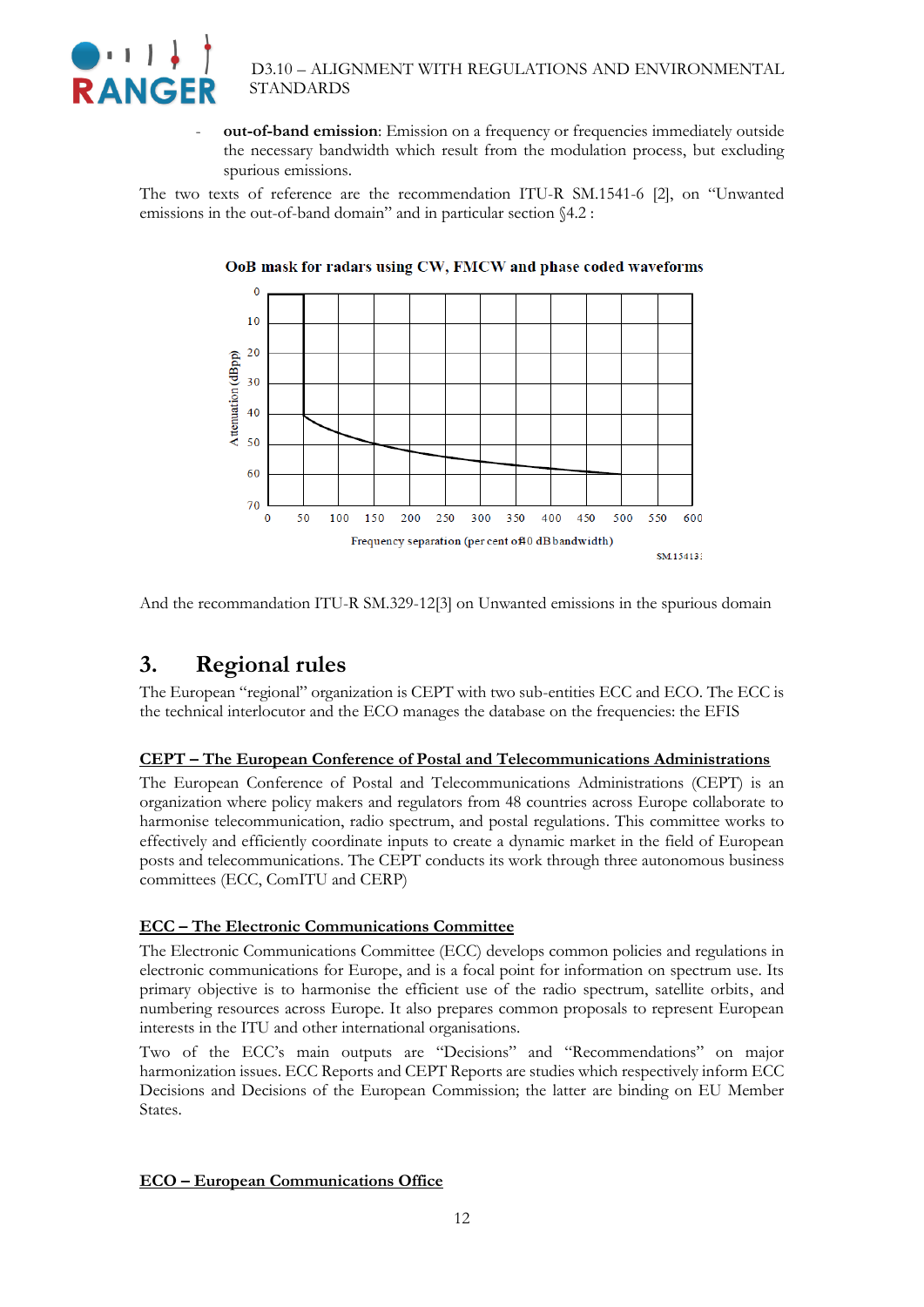

- **out-of-band emission**: Emission on a frequency or frequencies immediately outside the necessary bandwidth which result from the modulation process, but excluding spurious emissions.

The two texts of reference are the recommendation ITU-R SM.1541-6 [2], on "Unwanted emissions in the out-of-band domain" and in particular section §4.2 :



OoB mask for radars using CW, FMCW and phase coded waveforms

<span id="page-11-0"></span>And the recommandation ITU-R SM.329-12[3] on Unwanted emissions in the spurious domain

### **3. Regional rules**

The European "regional" organization is CEPT with two sub-entities ECC and ECO. The ECC is the technical interlocutor and the ECO manages the database on the frequencies: the EFIS

#### **CEPT – The European Conference of Postal and Telecommunications Administrations**

The European Conference of Postal and Telecommunications Administrations (CEPT) is an organization where policy makers and regulators from 48 countries across Europe collaborate to harmonise telecommunication, radio spectrum, and postal regulations. This committee works to effectively and efficiently coordinate inputs to create a dynamic market in the field of European posts and telecommunications. The CEPT conducts its work through three autonomous business committees (ECC, ComITU and CERP)

#### **ECC – The Electronic Communications Committee**

The Electronic Communications Committee (ECC) develops common policies and regulations in electronic communications for Europe, and is a focal point for information on spectrum use. Its primary objective is to harmonise the efficient use of the radio spectrum, satellite orbits, and numbering resources across Europe. It also prepares common proposals to represent European interests in the ITU and other international organisations.

Two of the ECC's main outputs are "Decisions" and "Recommendations" on major harmonization issues. ECC Reports and CEPT Reports are studies which respectively inform ECC Decisions and Decisions of the European Commission; the latter are binding on EU Member States.

#### **ECO – European Communications Office**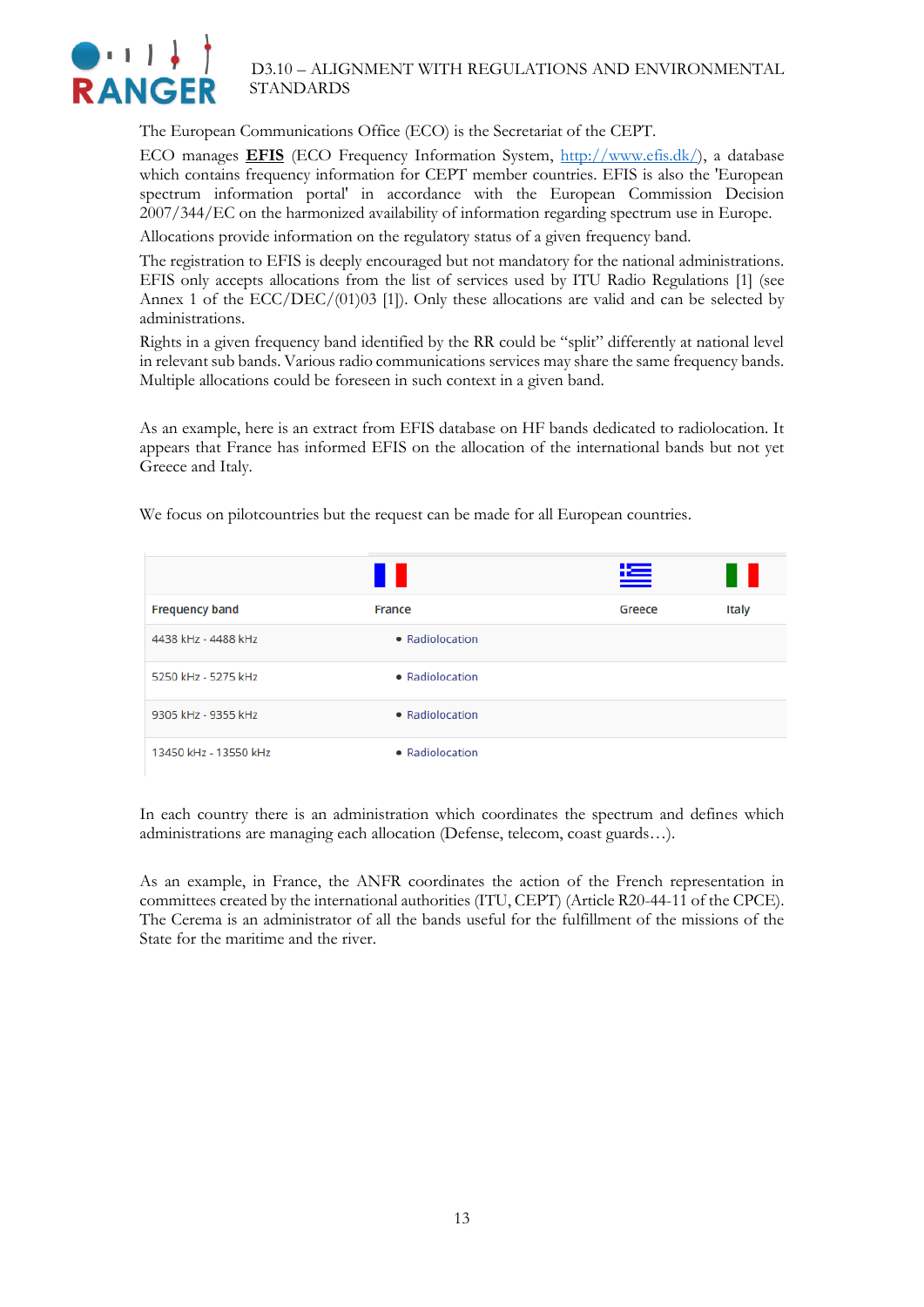

The European Communications Office (ECO) is the Secretariat of the CEPT.

ECO manages **EFIS** (ECO Frequency Information System, [http://www.efis.dk/\)](http://www.efis.dk/), a database which contains frequency information for CEPT member countries. EFIS is also the 'European spectrum information portal' in accordance with the European Commission Decision 2007/344/EC on the harmonized availability of information regarding spectrum use in Europe.

Allocations provide information on the regulatory status of a given frequency band.

The registration to EFIS is deeply encouraged but not mandatory for the national administrations. EFIS only accepts allocations from the list of services used by ITU Radio Regulations [1] (see Annex 1 of the ECC/DEC/(01)03 [1]). Only these allocations are valid and can be selected by administrations.

Rights in a given frequency band identified by the RR could be "split" differently at national level in relevant sub bands. Various radio communications services may share the same frequency bands. Multiple allocations could be foreseen in such context in a given band.

As an example, here is an extract from EFIS database on HF bands dedicated to radiolocation. It appears that France has informed EFIS on the allocation of the international bands but not yet Greece and Italy.

|                       | ╻╻              | 汽      | Ш     |
|-----------------------|-----------------|--------|-------|
| <b>Frequency band</b> | France          | Greece | Italy |
| 4438 kHz - 4488 kHz   | • Radiolocation |        |       |
| 5250 kHz - 5275 kHz   | • Radiolocation |        |       |
| 9305 kHz - 9355 kHz   | • Radiolocation |        |       |
| 13450 kHz - 13550 kHz | • Radiolocation |        |       |

We focus on pilotcountries but the request can be made for all European countries.

In each country there is an administration which coordinates the spectrum and defines which administrations are managing each allocation (Defense, telecom, coast guards…).

As an example, in France, the ANFR coordinates the action of the French representation in committees created by the international authorities (ITU, CEPT) (Article R20-44-11 of the CPCE). The Cerema is an administrator of all the bands useful for the fulfillment of the missions of the State for the maritime and the river.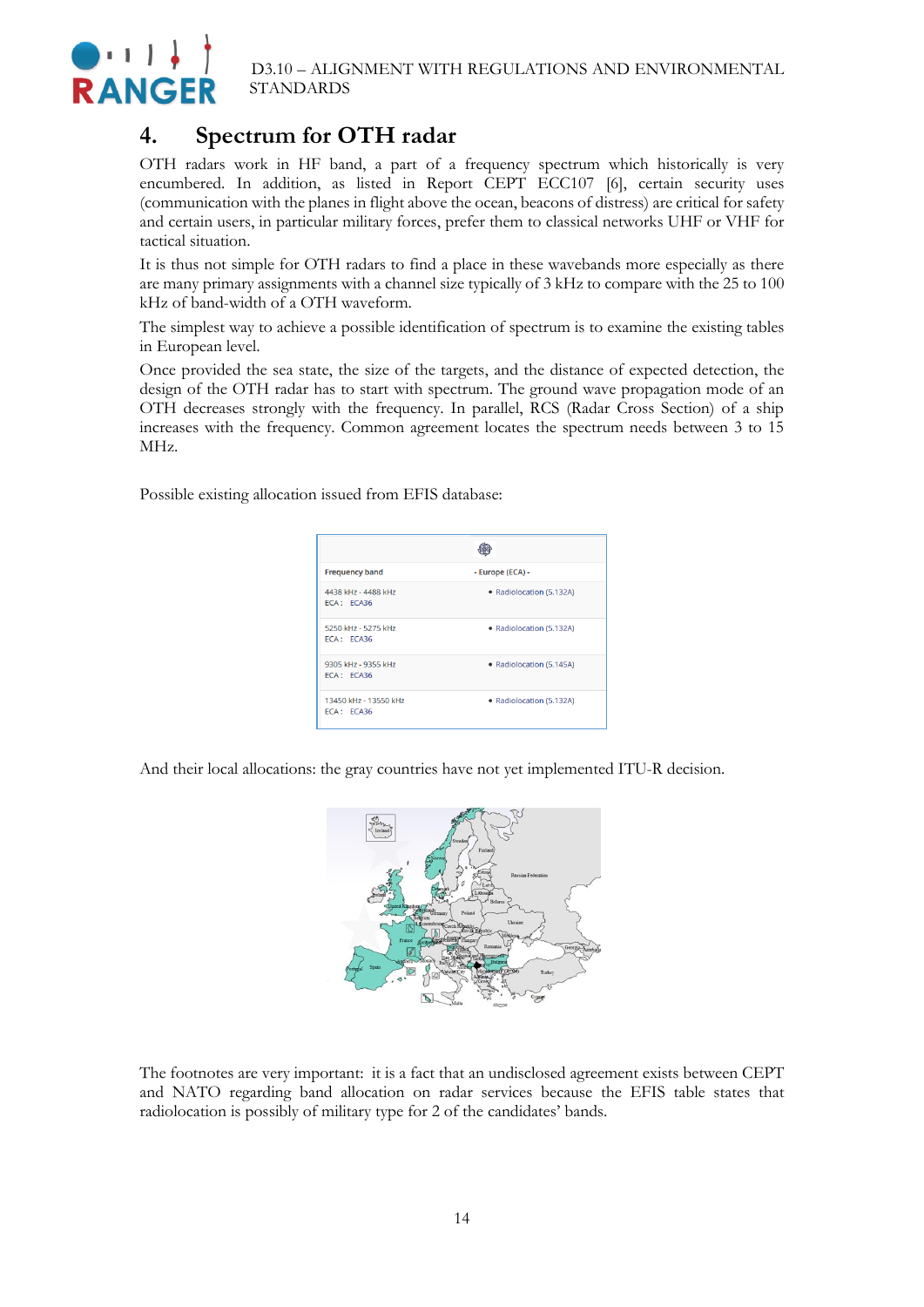

### <span id="page-13-0"></span>**4. Spectrum for OTH radar**

OTH radars work in HF band, a part of a frequency spectrum which historically is very encumbered. In addition, as listed in Report CEPT ECC107 [6], certain security uses (communication with the planes in flight above the ocean, beacons of distress) are critical for safety and certain users, in particular military forces, prefer them to classical networks UHF or VHF for tactical situation.

It is thus not simple for OTH radars to find a place in these wavebands more especially as there are many primary assignments with a channel size typically of 3 kHz to compare with the 25 to 100 kHz of band-width of a OTH waveform.

The simplest way to achieve a possible identification of spectrum is to examine the existing tables in European level.

Once provided the sea state, the size of the targets, and the distance of expected detection, the design of the OTH radar has to start with spectrum. The ground wave propagation mode of an OTH decreases strongly with the frequency. In parallel, RCS (Radar Cross Section) of a ship increases with the frequency. Common agreement locates the spectrum needs between 3 to 15 MHz.

Possible existing allocation issued from EFIS database:

| <b>Frequency band</b>               | - Europe (ECA) -         |
|-------------------------------------|--------------------------|
| 4438 kHz - 4488 kHz<br>FCA: FCA36   | • Radiolocation (5.132A) |
| 5250 kHz - 5275 kHz<br>ECA: ECA36   | • Radiolocation (5.132A) |
| 9305 kHz - 9355 kHz<br>ECA: ECA36   | • Radiolocation (5.145A) |
| 13450 kHz - 13550 kHz<br>FCA: FCA36 | • Radiolocation (5.132A) |

And their local allocations: the gray countries have not yet implemented ITU-R decision.



The footnotes are very important: it is a fact that an undisclosed agreement exists between CEPT and NATO regarding band allocation on radar services because the EFIS table states that radiolocation is possibly of military type for 2 of the candidates' bands.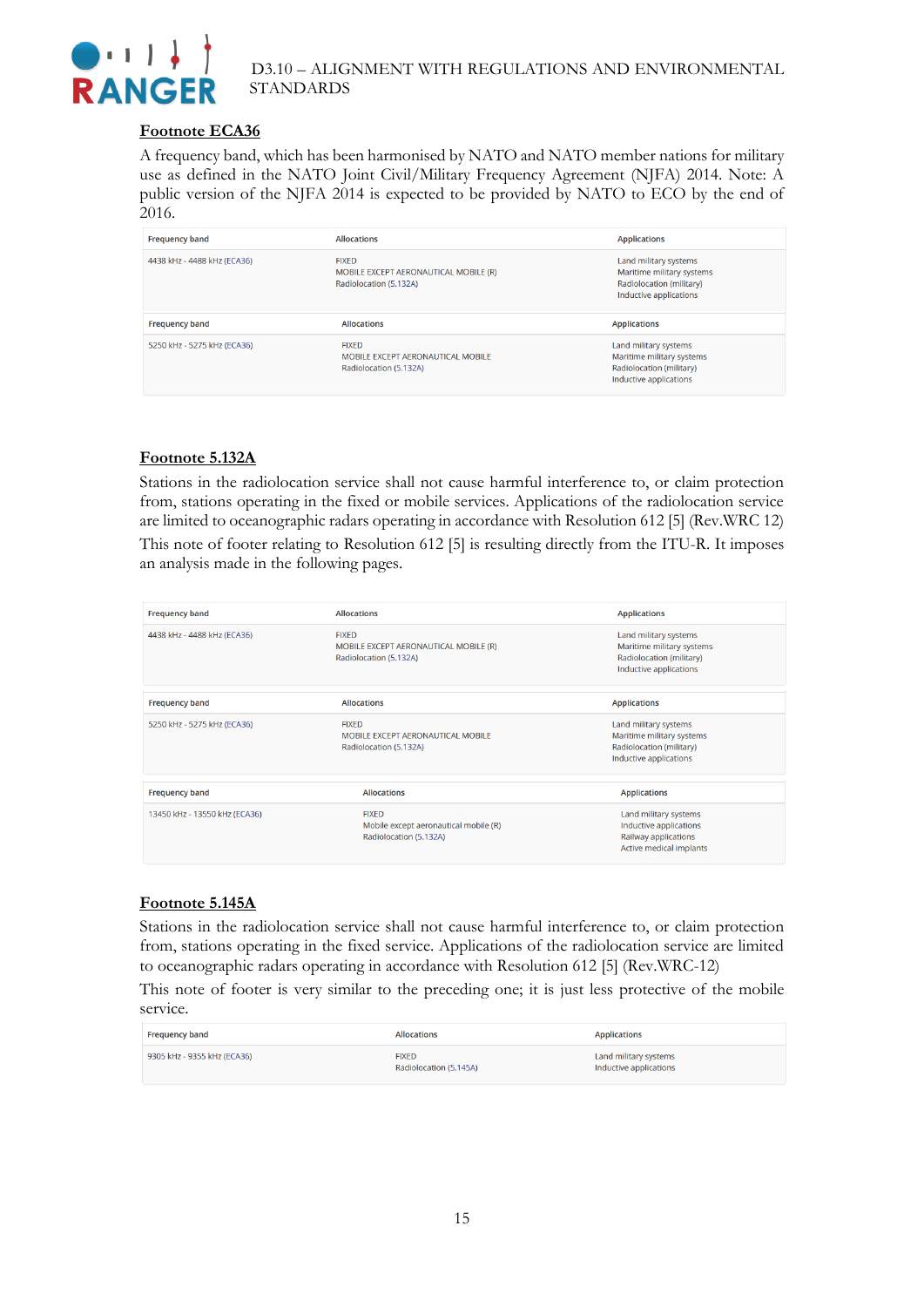

#### **Footnote ECA36**

A frequency band, which has been harmonised by NATO and NATO member nations for military use as defined in the NATO Joint Civil/Military Frequency Agreement (NJFA) 2014. Note: A public version of the NJFA 2014 is expected to be provided by NATO to ECO by the end of 2016.

| <b>Frequency band</b>       | <b>Allocations</b>                                                              | <b>Applications</b>                                                                                      |
|-----------------------------|---------------------------------------------------------------------------------|----------------------------------------------------------------------------------------------------------|
| 4438 kHz - 4488 kHz (ECA36) | <b>FIXED</b><br>MOBILE EXCEPT AERONAUTICAL MOBILE (R)<br>Radiolocation (5.132A) | Land military systems<br>Maritime military systems<br>Radiolocation (military)<br>Inductive applications |
|                             |                                                                                 |                                                                                                          |
| <b>Frequency band</b>       | <b>Allocations</b>                                                              | <b>Applications</b>                                                                                      |

#### **Footnote 5.132A**

Stations in the radiolocation service shall not cause harmful interference to, or claim protection from, stations operating in the fixed or mobile services. Applications of the radiolocation service are limited to oceanographic radars operating in accordance with Resolution 612 [5] (Rev.WRC 12) This note of footer relating to Resolution 612 [5] is resulting directly from the ITU-R. It imposes an analysis made in the following pages.

| <b>Frequency band</b>         | <b>Allocations</b>                                                              | <b>Applications</b>                                                                                      |
|-------------------------------|---------------------------------------------------------------------------------|----------------------------------------------------------------------------------------------------------|
| 4438 kHz - 4488 kHz (ECA36)   | <b>FIXED</b><br>MOBILE EXCEPT AERONAUTICAL MOBILE (R)<br>Radiolocation (5.132A) | Land military systems<br>Maritime military systems<br>Radiolocation (military)<br>Inductive applications |
| <b>Frequency band</b>         | <b>Allocations</b>                                                              | <b>Applications</b>                                                                                      |
| 5250 kHz - 5275 kHz (ECA36)   | <b>FIXED</b><br>MOBILE EXCEPT AERONAUTICAL MOBILE<br>Radiolocation (5.132A)     | Land military systems<br>Maritime military systems<br>Radiolocation (military)<br>Inductive applications |
| <b>Frequency band</b>         | <b>Allocations</b>                                                              | <b>Applications</b>                                                                                      |
| 13450 kHz - 13550 kHz (ECA36) | <b>FIXED</b><br>Mobile except aeronautical mobile (R)<br>Radiolocation (5.132A) | Land military systems<br>Inductive applications<br>Railway applications<br>Active medical implants       |

#### **Footnote 5.145A**

Stations in the radiolocation service shall not cause harmful interference to, or claim protection from, stations operating in the fixed service. Applications of the radiolocation service are limited to oceanographic radars operating in accordance with Resolution 612 [5] (Rev.WRC-12)

This note of footer is very similar to the preceding one; it is just less protective of the mobile service.

| <b>Frequency band</b>       | <b>Allocations</b>                     | <b>Applications</b>                             |
|-----------------------------|----------------------------------------|-------------------------------------------------|
| 9305 kHz - 9355 kHz (ECA36) | <b>FIXED</b><br>Radiolocation (5.145A) | Land military systems<br>Inductive applications |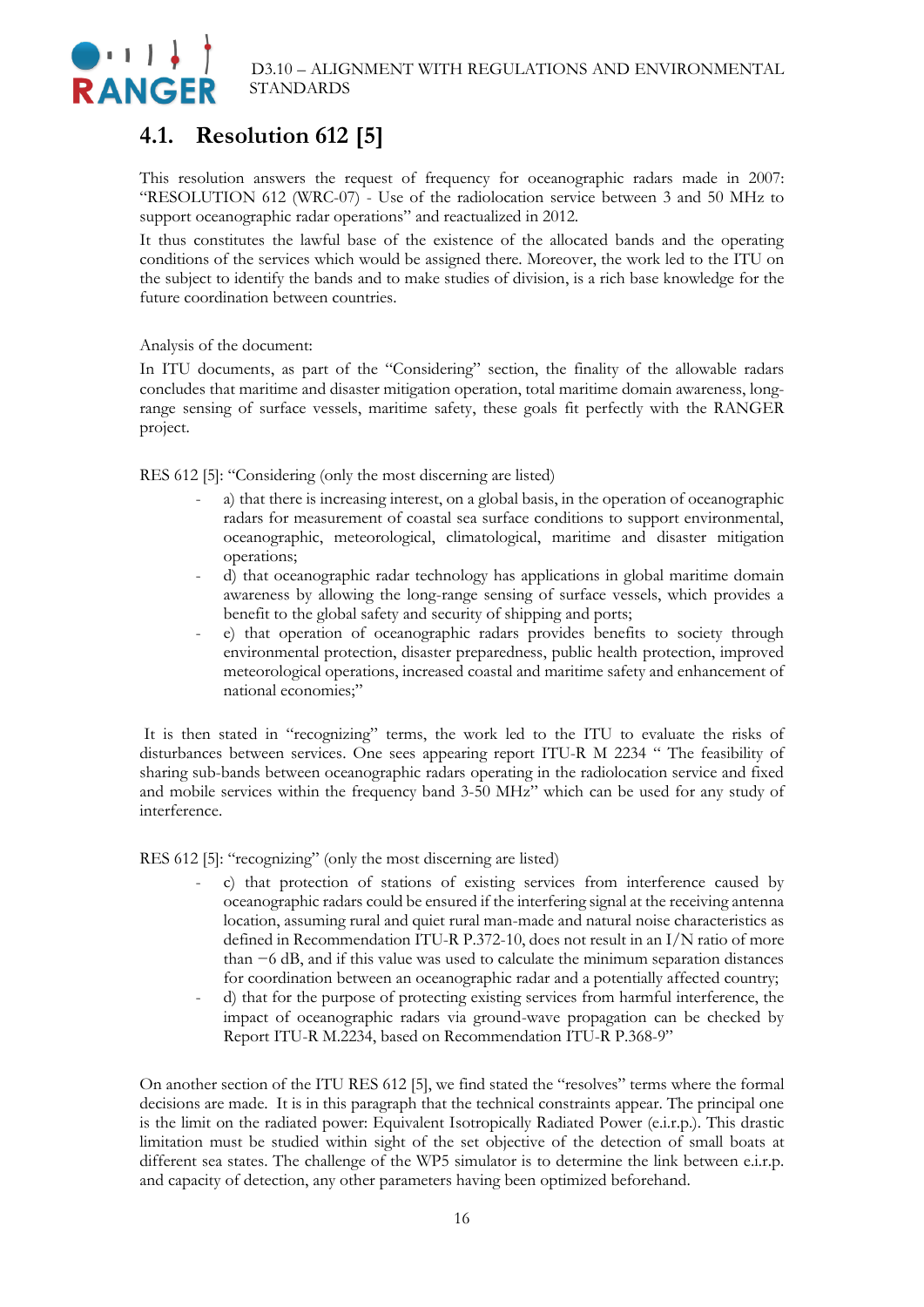

## <span id="page-15-0"></span>**4.1. Resolution 612 [5]**

This resolution answers the request of frequency for oceanographic radars made in 2007: "RESOLUTION 612 (WRC-07) - Use of the radiolocation service between 3 and 50 MHz to support oceanographic radar operations" and reactualized in 2012.

It thus constitutes the lawful base of the existence of the allocated bands and the operating conditions of the services which would be assigned there. Moreover, the work led to the ITU on the subject to identify the bands and to make studies of division, is a rich base knowledge for the future coordination between countries.

Analysis of the document:

In ITU documents, as part of the "Considering" section, the finality of the allowable radars concludes that maritime and disaster mitigation operation, total maritime domain awareness, longrange sensing of surface vessels, maritime safety, these goals fit perfectly with the RANGER project.

RES 612 [5]: "Considering (only the most discerning are listed)

- a) that there is increasing interest, on a global basis, in the operation of oceanographic radars for measurement of coastal sea surface conditions to support environmental, oceanographic, meteorological, climatological, maritime and disaster mitigation operations;
- d) that oceanographic radar technology has applications in global maritime domain awareness by allowing the long-range sensing of surface vessels, which provides a benefit to the global safety and security of shipping and ports;
- e) that operation of oceanographic radars provides benefits to society through environmental protection, disaster preparedness, public health protection, improved meteorological operations, increased coastal and maritime safety and enhancement of national economies;"

It is then stated in "recognizing" terms, the work led to the ITU to evaluate the risks of disturbances between services. One sees appearing report ITU-R M 2234 " The feasibility of sharing sub-bands between oceanographic radars operating in the radiolocation service and fixed and mobile services within the frequency band 3-50 MHz" which can be used for any study of interference.

RES 612 [5]: "recognizing" (only the most discerning are listed)

- c) that protection of stations of existing services from interference caused by oceanographic radars could be ensured if the interfering signal at the receiving antenna location, assuming rural and quiet rural man-made and natural noise characteristics as defined in Recommendation ITU-R P.372-10, does not result in an I/N ratio of more than −6 dB, and if this value was used to calculate the minimum separation distances for coordination between an oceanographic radar and a potentially affected country;
- d) that for the purpose of protecting existing services from harmful interference, the impact of oceanographic radars via ground-wave propagation can be checked by Report ITU-R M.2234, based on Recommendation ITU-R P.368-9"

On another section of the ITU RES 612 [5], we find stated the "resolves" terms where the formal decisions are made. It is in this paragraph that the technical constraints appear. The principal one is the limit on the radiated power: Equivalent Isotropically Radiated Power (e.i.r.p.). This drastic limitation must be studied within sight of the set objective of the detection of small boats at different sea states. The challenge of the WP5 simulator is to determine the link between e.i.r.p. and capacity of detection, any other parameters having been optimized beforehand.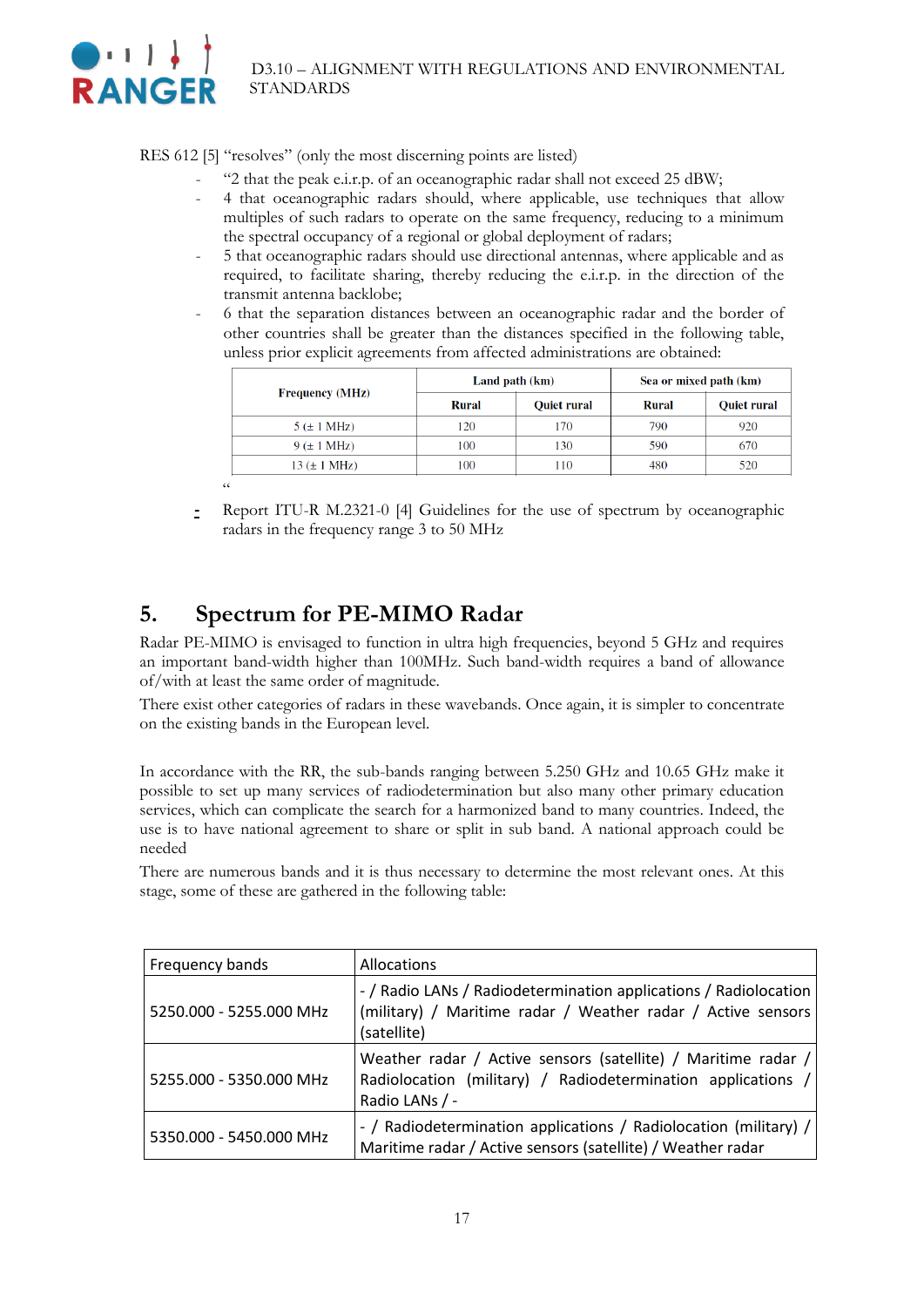

RES 612 [5] "resolves" (only the most discerning points are listed)

- "2 that the peak e.i.r.p. of an oceanographic radar shall not exceed 25 dBW;
- 4 that oceanographic radars should, where applicable, use techniques that allow multiples of such radars to operate on the same frequency, reducing to a minimum the spectral occupancy of a regional or global deployment of radars;
- 5 that oceanographic radars should use directional antennas, where applicable and as required, to facilitate sharing, thereby reducing the e.i.r.p. in the direction of the transmit antenna backlobe;
- 6 that the separation distances between an oceanographic radar and the border of other countries shall be greater than the distances specified in the following table, unless prior explicit agreements from affected administrations are obtained:

|                          |       | Land path (km) | Sea or mixed path (km) |                    |
|--------------------------|-------|----------------|------------------------|--------------------|
| <b>Frequency (MHz)</b>   | Rural | Quiet rural    | <b>Rural</b>           | <b>Quiet rural</b> |
| $5 \times 1 \text{ MHz}$ | 120   | 170            | 790                    | 920                |
| $9 \times 1 \text{ MHz}$ | 100   | 130            | 590                    | 670                |
| $13 (\pm 1 \text{ MHz})$ | 100   | 110            | 480                    | 520                |
| $\epsilon$               |       |                |                        |                    |

**-** Report ITU-R M.2321-0 [4] Guidelines for the use of spectrum by oceanographic radars in the frequency range 3 to 50 MHz

### <span id="page-16-0"></span>**5. Spectrum for PE-MIMO Radar**

Radar PE-MIMO is envisaged to function in ultra high frequencies, beyond 5 GHz and requires an important band-width higher than 100MHz. Such band-width requires a band of allowance of/with at least the same order of magnitude.

There exist other categories of radars in these wavebands. Once again, it is simpler to concentrate on the existing bands in the European level.

In accordance with the RR, the sub-bands ranging between 5.250 GHz and 10.65 GHz make it possible to set up many services of radiodetermination but also many other primary education services, which can complicate the search for a harmonized band to many countries. Indeed, the use is to have national agreement to share or split in sub band. A national approach could be needed

There are numerous bands and it is thus necessary to determine the most relevant ones. At this stage, some of these are gathered in the following table:

| Frequency bands         | Allocations                                                                                                                                     |
|-------------------------|-------------------------------------------------------------------------------------------------------------------------------------------------|
| 5250.000 - 5255.000 MHz | - / Radio LANs / Radiodetermination applications / Radiolocation<br>(military) / Maritime radar / Weather radar / Active sensors<br>(satellite) |
| 5255.000 - 5350.000 MHz | Weather radar / Active sensors (satellite) / Maritime radar /<br>Radiolocation (military) / Radiodetermination applications /<br>Radio LANs / - |
| 5350.000 - 5450.000 MHz | - / Radiodetermination applications / Radiolocation (military) /<br>Maritime radar / Active sensors (satellite) / Weather radar                 |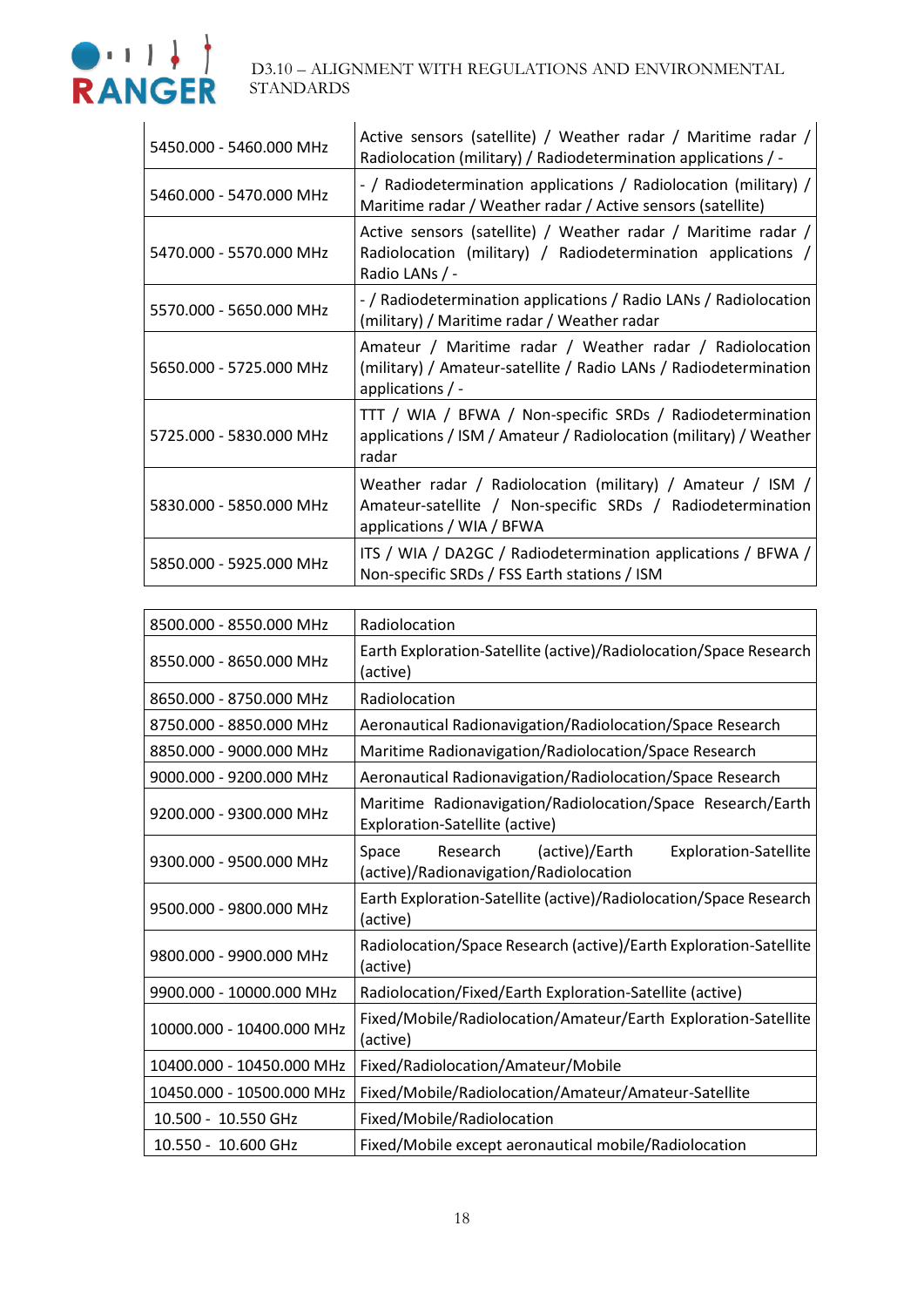

| 5450.000 - 5460.000 MHz | Active sensors (satellite) / Weather radar / Maritime radar /<br>Radiolocation (military) / Radiodetermination applications / -                       |
|-------------------------|-------------------------------------------------------------------------------------------------------------------------------------------------------|
| 5460.000 - 5470.000 MHz | - / Radiodetermination applications / Radiolocation (military) /<br>Maritime radar / Weather radar / Active sensors (satellite)                       |
| 5470.000 - 5570.000 MHz | Active sensors (satellite) / Weather radar / Maritime radar /<br>Radiolocation (military) / Radiodetermination applications /<br>Radio LANs / -       |
| 5570.000 - 5650.000 MHz | - / Radiodetermination applications / Radio LANs / Radiolocation<br>(military) / Maritime radar / Weather radar                                       |
| 5650.000 - 5725.000 MHz | Amateur / Maritime radar / Weather radar / Radiolocation<br>(military) / Amateur-satellite / Radio LANs / Radiodetermination<br>applications $/ -$    |
| 5725.000 - 5830.000 MHz | TTT / WIA / BFWA / Non-specific SRDs / Radiodetermination<br>applications / ISM / Amateur / Radiolocation (military) / Weather<br>radar               |
| 5830.000 - 5850.000 MHz | Weather radar / Radiolocation (military) / Amateur / ISM /<br>Amateur-satellite / Non-specific SRDs / Radiodetermination<br>applications / WIA / BFWA |
| 5850.000 - 5925.000 MHz | ITS / WIA / DA2GC / Radiodetermination applications / BFWA /<br>Non-specific SRDs / FSS Earth stations / ISM                                          |

| 8500.000 - 8550.000 MHz   | Radiolocation                                                                                                 |
|---------------------------|---------------------------------------------------------------------------------------------------------------|
| 8550.000 - 8650.000 MHz   | Earth Exploration-Satellite (active)/Radiolocation/Space Research<br>(active)                                 |
| 8650.000 - 8750.000 MHz   | Radiolocation                                                                                                 |
| 8750.000 - 8850.000 MHz   | Aeronautical Radionavigation/Radiolocation/Space Research                                                     |
| 8850.000 - 9000.000 MHz   | Maritime Radionavigation/Radiolocation/Space Research                                                         |
| 9000.000 - 9200.000 MHz   | Aeronautical Radionavigation/Radiolocation/Space Research                                                     |
| 9200.000 - 9300.000 MHz   | Maritime Radionavigation/Radiolocation/Space Research/Earth<br>Exploration-Satellite (active)                 |
| 9300.000 - 9500.000 MHz   | Research<br>(active)/Earth<br>Space<br><b>Exploration-Satellite</b><br>(active)/Radionavigation/Radiolocation |
| 9500.000 - 9800.000 MHz   | Earth Exploration-Satellite (active)/Radiolocation/Space Research<br>(active)                                 |
| 9800.000 - 9900.000 MHz   | Radiolocation/Space Research (active)/Earth Exploration-Satellite<br>(active)                                 |
| 9900.000 - 10000.000 MHz  | Radiolocation/Fixed/Earth Exploration-Satellite (active)                                                      |
| 10000.000 - 10400.000 MHz | Fixed/Mobile/Radiolocation/Amateur/Earth Exploration-Satellite<br>(active)                                    |
| 10400.000 - 10450.000 MHz | Fixed/Radiolocation/Amateur/Mobile                                                                            |
| 10450.000 - 10500.000 MHz | Fixed/Mobile/Radiolocation/Amateur/Amateur-Satellite                                                          |
| 10.500 - 10.550 GHz       | Fixed/Mobile/Radiolocation                                                                                    |
| 10.550 - 10.600 GHz       | Fixed/Mobile except aeronautical mobile/Radiolocation                                                         |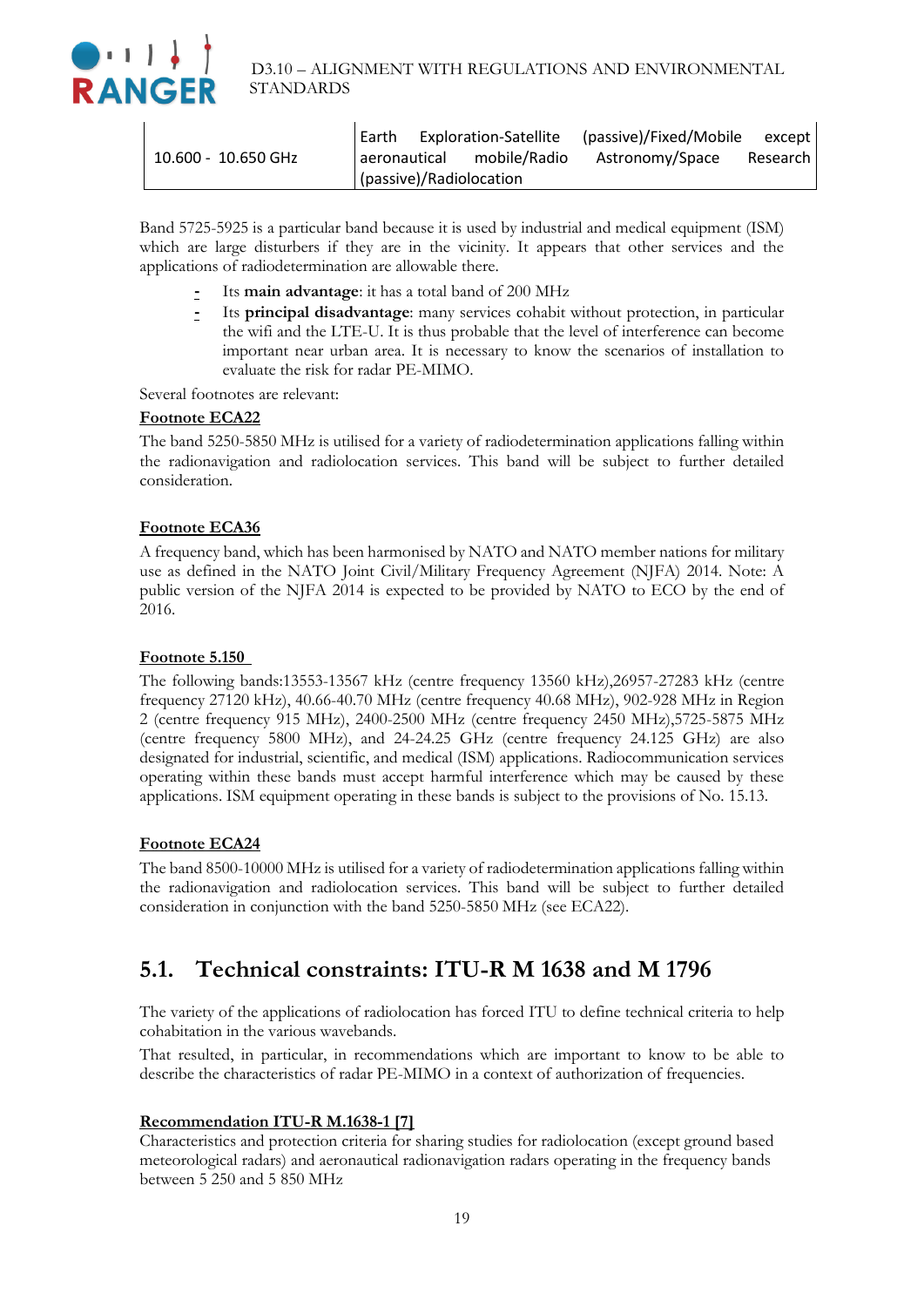

|                       |  |                           | Earth Exploration-Satellite (passive)/Fixed/Mobile except |            |
|-----------------------|--|---------------------------|-----------------------------------------------------------|------------|
| $10.600 - 10.650$ GHz |  | aeronautical mobile/Radio | Astronomy/Space                                           | Research I |
|                       |  | (passive)/Radiolocation   |                                                           |            |

Band 5725-5925 is a particular band because it is used by industrial and medical equipment (ISM) which are large disturbers if they are in the vicinity. It appears that other services and the applications of radiodetermination are allowable there.

- **-** Its **main advantage**: it has a total band of 200 MHz
- **-** Its **principal disadvantage**: many services cohabit without protection, in particular the wifi and the LTE-U. It is thus probable that the level of interference can become important near urban area. It is necessary to know the scenarios of installation to evaluate the risk for radar PE-MIMO.

Several footnotes are relevant:

#### **Footnote ECA22**

The band 5250-5850 MHz is utilised for a variety of radiodetermination applications falling within the radionavigation and radiolocation services. This band will be subject to further detailed consideration.

#### **Footnote ECA36**

A frequency band, which has been harmonised by NATO and NATO member nations for military use as defined in the NATO Joint Civil/Military Frequency Agreement (NJFA) 2014. Note: A public version of the NJFA 2014 is expected to be provided by NATO to ECO by the end of 2016.

#### **Footnote 5.150**

The following bands:13553-13567 kHz (centre frequency 13560 kHz),26957-27283 kHz (centre frequency 27120 kHz), 40.66-40.70 MHz (centre frequency 40.68 MHz), 902-928 MHz in Region 2 (centre frequency 915 MHz), 2400-2500 MHz (centre frequency 2450 MHz),5725-5875 MHz (centre frequency 5800 MHz), and 24-24.25 GHz (centre frequency 24.125 GHz) are also designated for industrial, scientific, and medical (ISM) applications. Radiocommunication services operating within these bands must accept harmful interference which may be caused by these applications. ISM equipment operating in these bands is subject to the provisions of No. 15.13.

#### **Footnote ECA24**

The band 8500-10000 MHz is utilised for a variety of radiodetermination applications falling within the radionavigation and radiolocation services. This band will be subject to further detailed consideration in conjunction with the band 5250-5850 MHz (see ECA22).

### <span id="page-18-0"></span>**5.1. Technical constraints: ITU-R M 1638 and M 1796**

The variety of the applications of radiolocation has forced ITU to define technical criteria to help cohabitation in the various wavebands.

That resulted, in particular, in recommendations which are important to know to be able to describe the characteristics of radar PE-MIMO in a context of authorization of frequencies.

#### **Recommendation ITU-R M.1638-1 [7]**

Characteristics and protection criteria for sharing studies for radiolocation (except ground based meteorological radars) and aeronautical radionavigation radars operating in the frequency bands between 5 250 and 5 850 MHz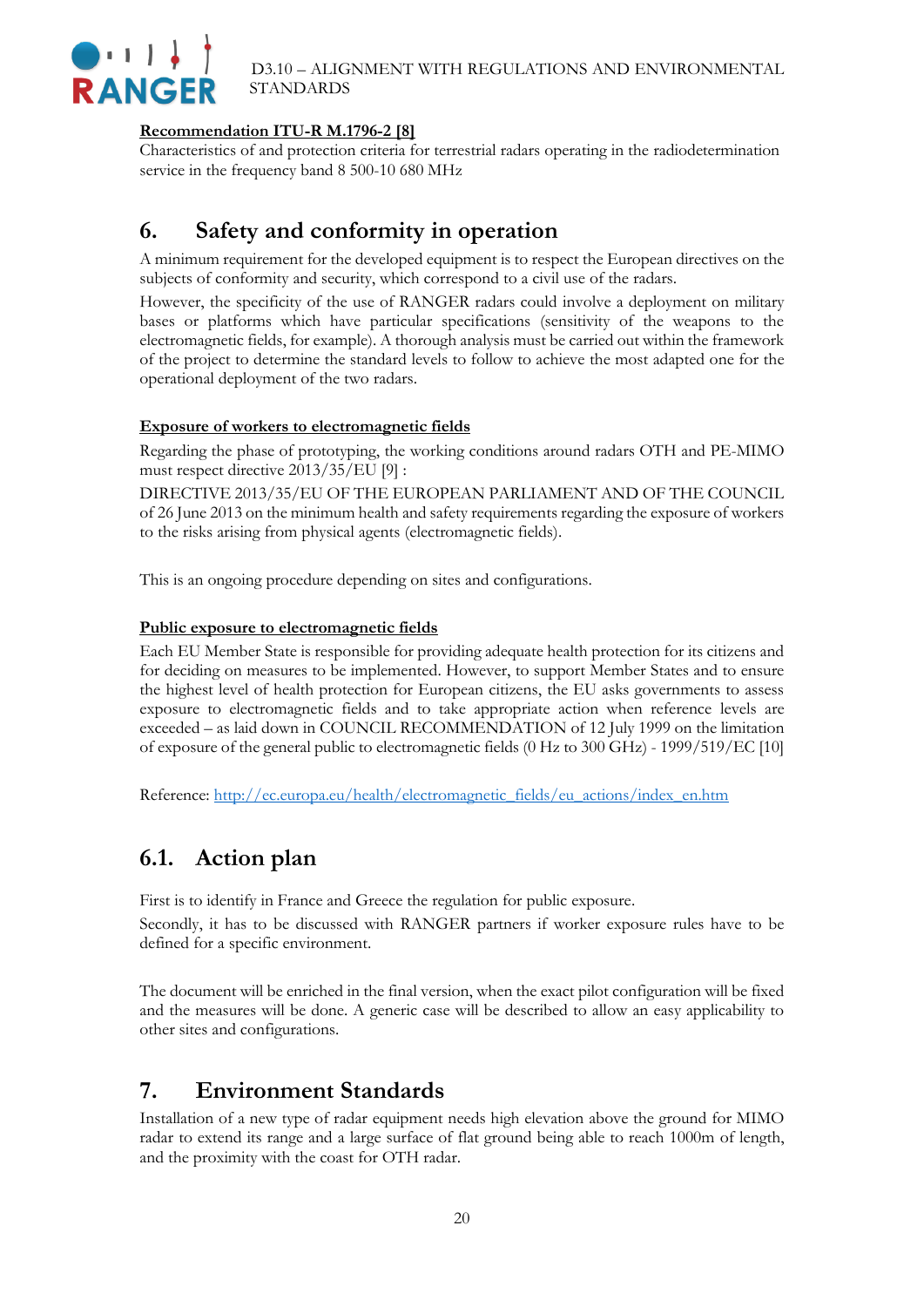

#### **Recommendation ITU-R M.1796-2 [8]**

<span id="page-19-0"></span>Characteristics of and protection criteria for terrestrial radars operating in the radiodetermination service in the frequency band 8 500-10 680 MHz

### **6. Safety and conformity in operation**

A minimum requirement for the developed equipment is to respect the European directives on the subjects of conformity and security, which correspond to a civil use of the radars.

However, the specificity of the use of RANGER radars could involve a deployment on military bases or platforms which have particular specifications (sensitivity of the weapons to the electromagnetic fields, for example). A thorough analysis must be carried out within the framework of the project to determine the standard levels to follow to achieve the most adapted one for the operational deployment of the two radars.

#### **Exposure of workers to electromagnetic fields**

Regarding the phase of prototyping, the working conditions around radars OTH and PE-MIMO must respect directive 2013/35/EU [9] :

DIRECTIVE 2013/35/EU OF THE EUROPEAN PARLIAMENT AND OF THE COUNCIL of 26 June 2013 on the minimum health and safety requirements regarding the exposure of workers to the risks arising from physical agents (electromagnetic fields).

This is an ongoing procedure depending on sites and configurations.

#### **Public exposure to electromagnetic fields**

Each EU Member State is responsible for providing adequate health protection for its citizens and for deciding on measures to be implemented. However, to support Member States and to ensure the highest level of health protection for European citizens, the EU asks governments to assess exposure to electromagnetic fields and to take appropriate action when reference levels are exceeded – as laid down in COUNCIL RECOMMENDATION of 12 July 1999 on the limitation of exposure of the general public to electromagnetic fields (0 Hz to 300 GHz) - 1999/519/EC [10]

Reference: [http://ec.europa.eu/health/electromagnetic\\_fields/eu\\_actions/index\\_en.htm](http://ec.europa.eu/health/electromagnetic_fields/eu_actions/index_en.htm)

### <span id="page-19-1"></span>**6.1. Action plan**

First is to identify in France and Greece the regulation for public exposure.

Secondly, it has to be discussed with RANGER partners if worker exposure rules have to be defined for a specific environment.

The document will be enriched in the final version, when the exact pilot configuration will be fixed and the measures will be done. A generic case will be described to allow an easy applicability to other sites and configurations.

### <span id="page-19-2"></span>**7. Environment Standards**

Installation of a new type of radar equipment needs high elevation above the ground for MIMO radar to extend its range and a large surface of flat ground being able to reach 1000m of length, and the proximity with the coast for OTH radar.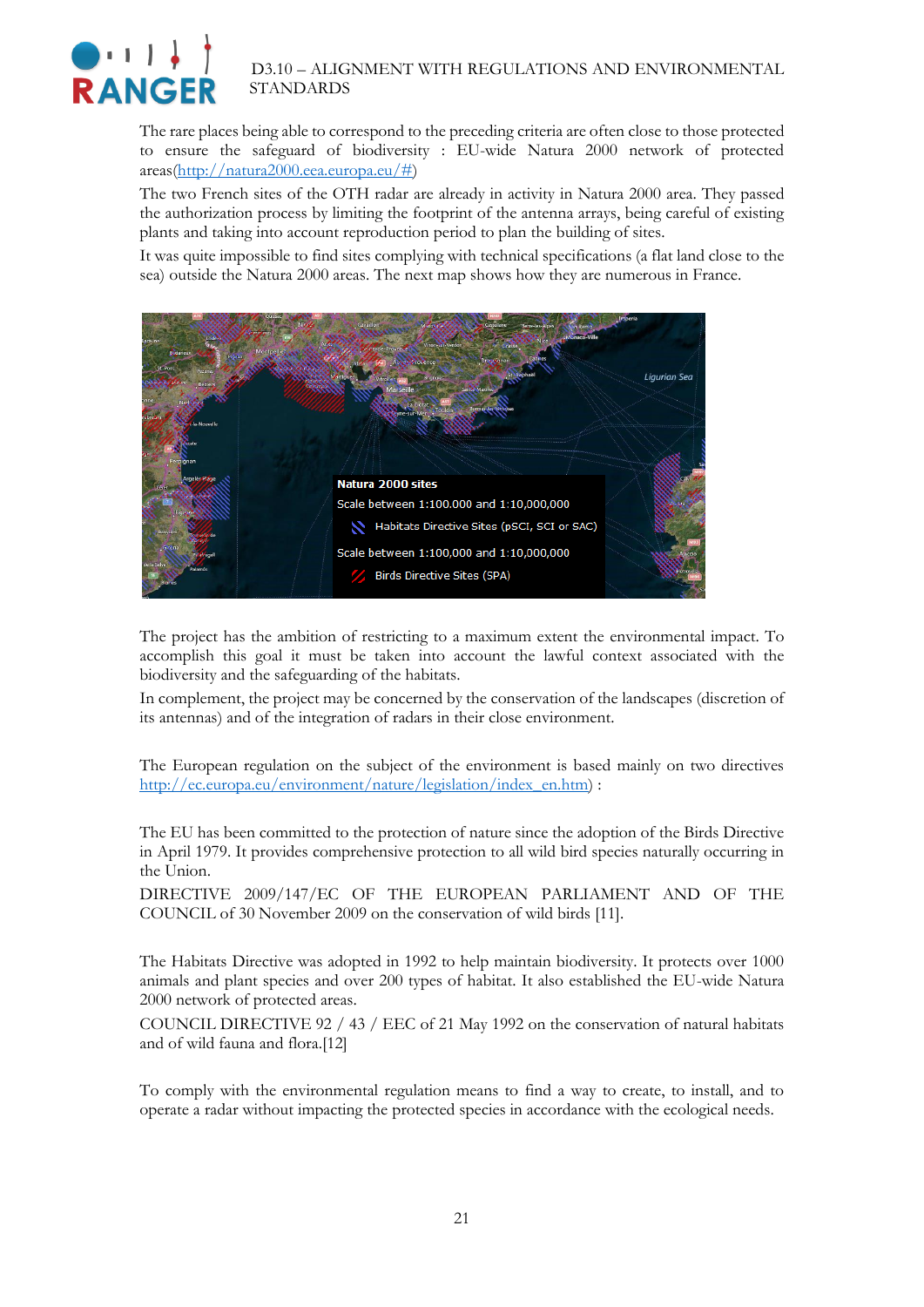

The rare places being able to correspond to the preceding criteria are often close to those protected to ensure the safeguard of biodiversity : EU-wide Natura 2000 network of protected areas[\(http://natura2000.eea.europa.eu/#\)](http://natura2000.eea.europa.eu/)

The two French sites of the OTH radar are already in activity in Natura 2000 area. They passed the authorization process by limiting the footprint of the antenna arrays, being careful of existing plants and taking into account reproduction period to plan the building of sites.

It was quite impossible to find sites complying with technical specifications (a flat land close to the sea) outside the Natura 2000 areas. The next map shows how they are numerous in France.



The project has the ambition of restricting to a maximum extent the environmental impact. To accomplish this goal it must be taken into account the lawful context associated with the biodiversity and the safeguarding of the habitats.

In complement, the project may be concerned by the conservation of the landscapes (discretion of its antennas) and of the integration of radars in their close environment.

The European regulation on the subject of the environment is based mainly on two directives [http://ec.europa.eu/environment/nature/legislation/index\\_en.htm\)](http://ec.europa.eu/environment/nature/legislation/index_en.htm) :

The EU has been committed to the protection of nature since the adoption of the Birds Directive in April 1979. It provides comprehensive protection to all wild bird species naturally occurring in the Union.

DIRECTIVE 2009/147/EC OF THE EUROPEAN PARLIAMENT AND OF THE COUNCIL of 30 November 2009 on the conservation of wild birds [11].

The Habitats Directive was adopted in 1992 to help maintain biodiversity. It protects over 1000 animals and plant species and over 200 types of habitat. It also established the EU-wide Natura 2000 network of protected areas.

COUNCIL DIRECTIVE 92 / 43 / EEC of 21 May 1992 on the conservation of natural habitats and of wild fauna and flora.[12]

To comply with the environmental regulation means to find a way to create, to install, and to operate a radar without impacting the protected species in accordance with the ecological needs.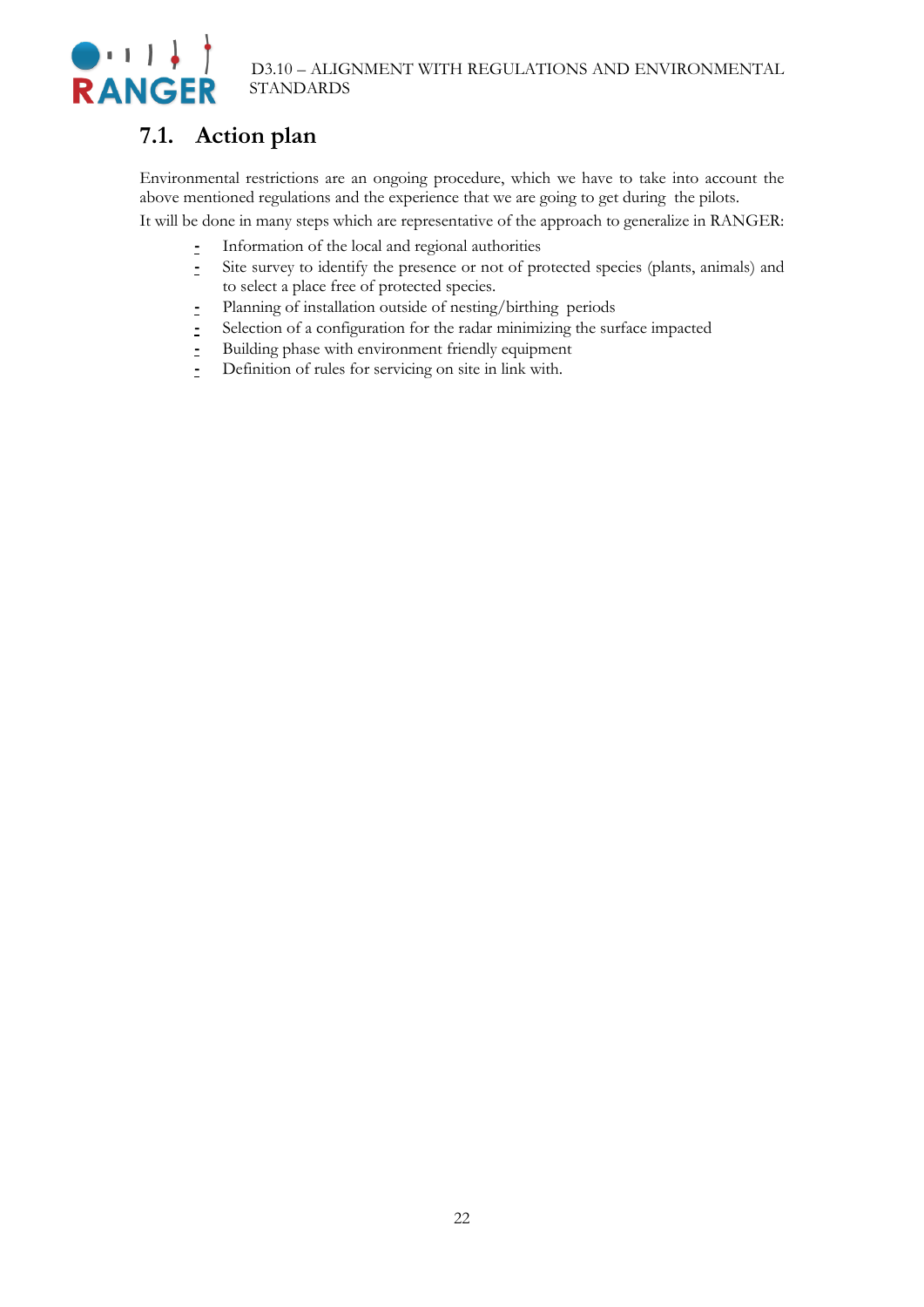# $\bigodot + 1$  ) **RANGER**

### <span id="page-21-0"></span>**7.1. Action plan**

Environmental restrictions are an ongoing procedure, which we have to take into account the above mentioned regulations and the experience that we are going to get during the pilots.

It will be done in many steps which are representative of the approach to generalize in RANGER:

- **-** Information of the local and regional authorities
- **-** Site survey to identify the presence or not of protected species (plants, animals) and to select a place free of protected species.
- **-** Planning of installation outside of nesting/birthing periods
- **-** Selection of a configuration for the radar minimizing the surface impacted
- **-** Building phase with environment friendly equipment
- **-** Definition of rules for servicing on site in link with.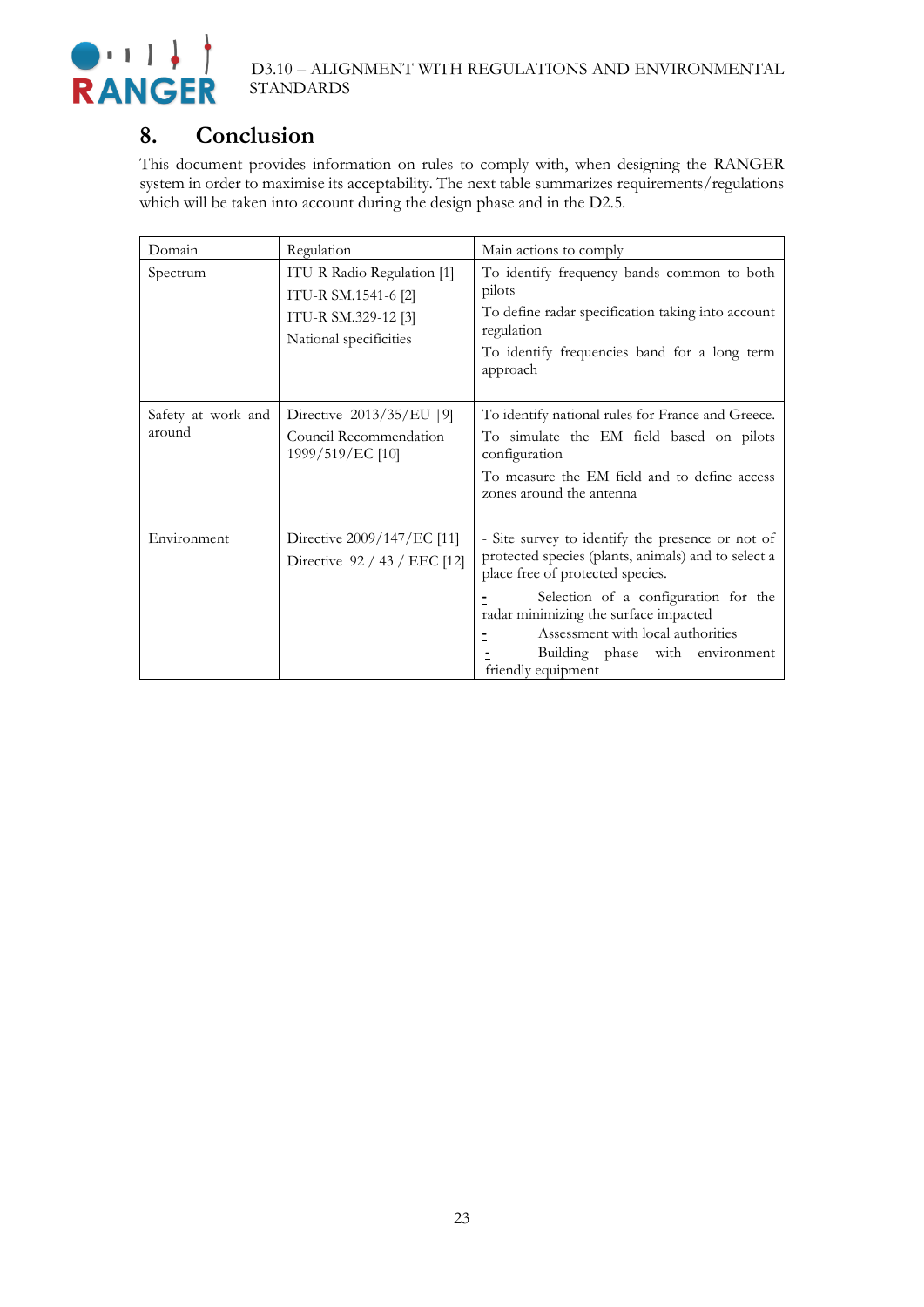

### <span id="page-22-0"></span>**8. Conclusion**

This document provides information on rules to comply with, when designing the RANGER system in order to maximise its acceptability. The next table summarizes requirements/regulations which will be taken into account during the design phase and in the D2.5.

| Domain                       | Regulation                                                                                         | Main actions to comply                                                                                                                                                                                                                                                                                                     |
|------------------------------|----------------------------------------------------------------------------------------------------|----------------------------------------------------------------------------------------------------------------------------------------------------------------------------------------------------------------------------------------------------------------------------------------------------------------------------|
| Spectrum                     | ITU-R Radio Regulation [1]<br>ITU-R SM.1541-6 [2]<br>ITU-R SM.329-12 [3]<br>National specificities | To identify frequency bands common to both<br>pilots<br>To define radar specification taking into account<br>regulation<br>To identify frequencies band for a long term<br>approach                                                                                                                                        |
| Safety at work and<br>around | Directive 2013/35/EU [9]<br>Council Recommendation<br>1999/519/EC [10]                             | To identify national rules for France and Greece.<br>To simulate the EM field based on pilots<br>configuration<br>To measure the EM field and to define access<br>zones around the antenna                                                                                                                                 |
| Environment                  | Directive 2009/147/EC [11]<br>Directive 92 / 43 / EEC [12]                                         | - Site survey to identify the presence or not of<br>protected species (plants, animals) and to select a<br>place free of protected species.<br>Selection of a configuration for the<br>radar minimizing the surface impacted<br>Assessment with local authorities<br>Building phase with environment<br>friendly equipment |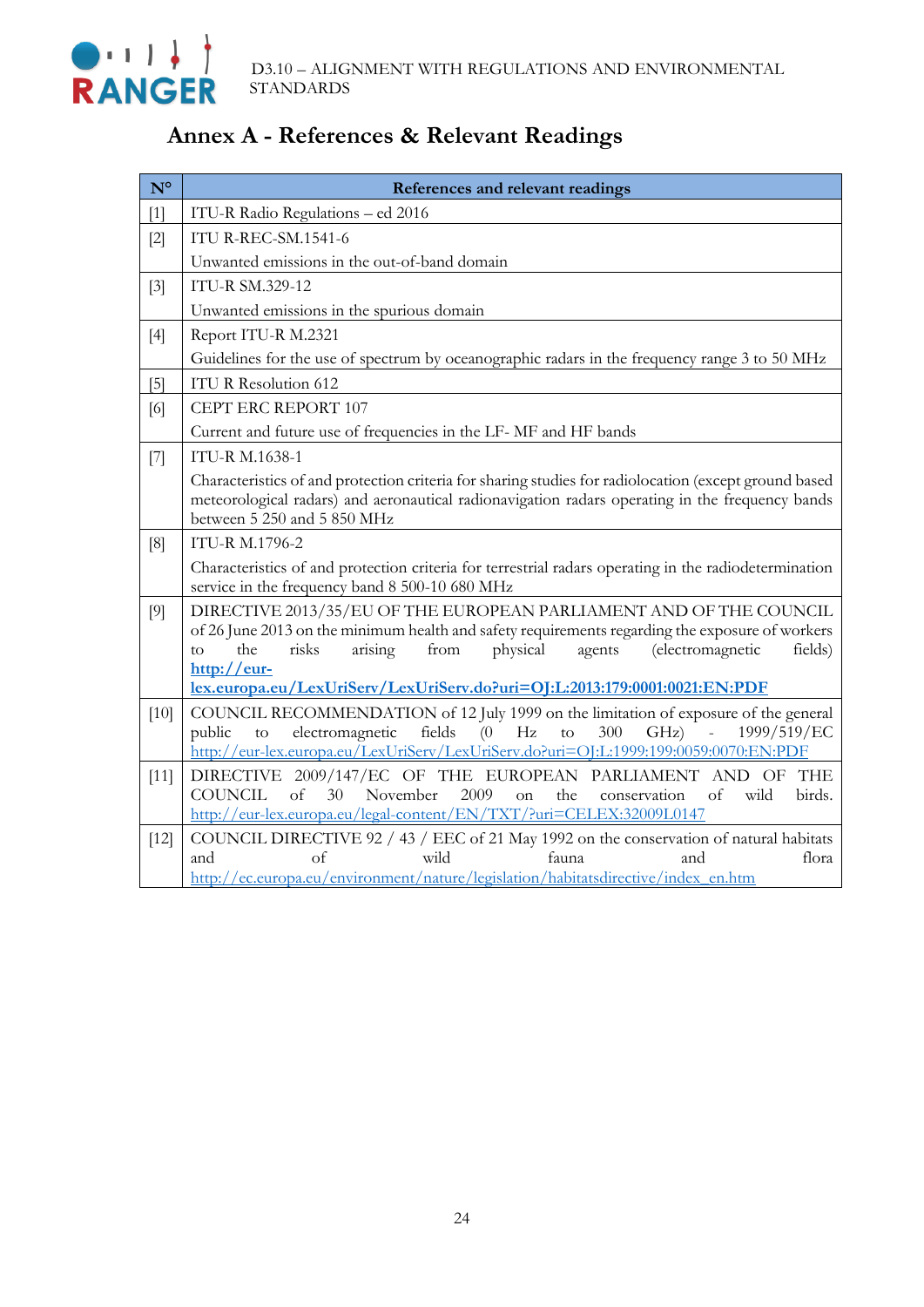

# <span id="page-23-0"></span>**Annex A - References & Relevant Readings**

| $N^{\circ}$ | References and relevant readings                                                                                                                                                                                                                                                                                                                                        |
|-------------|-------------------------------------------------------------------------------------------------------------------------------------------------------------------------------------------------------------------------------------------------------------------------------------------------------------------------------------------------------------------------|
| $[1]$       | ITU-R Radio Regulations - ed 2016                                                                                                                                                                                                                                                                                                                                       |
| $[2]$       | <b>ITU R-REC-SM.1541-6</b>                                                                                                                                                                                                                                                                                                                                              |
|             | Unwanted emissions in the out-of-band domain                                                                                                                                                                                                                                                                                                                            |
| $[3]$       | <b>ITU-R SM.329-12</b>                                                                                                                                                                                                                                                                                                                                                  |
|             | Unwanted emissions in the spurious domain                                                                                                                                                                                                                                                                                                                               |
| $[4]$       | Report ITU-R M.2321                                                                                                                                                                                                                                                                                                                                                     |
|             | Guidelines for the use of spectrum by oceanographic radars in the frequency range 3 to 50 MHz                                                                                                                                                                                                                                                                           |
| $[5]$       | <b>ITU R Resolution 612</b>                                                                                                                                                                                                                                                                                                                                             |
| [6]         | CEPT ERC REPORT 107                                                                                                                                                                                                                                                                                                                                                     |
|             | Current and future use of frequencies in the LF-MF and HF bands                                                                                                                                                                                                                                                                                                         |
| [7]         | <b>ITU-R M.1638-1</b>                                                                                                                                                                                                                                                                                                                                                   |
|             | Characteristics of and protection criteria for sharing studies for radiolocation (except ground based<br>meteorological radars) and aeronautical radionavigation radars operating in the frequency bands<br>between 5 250 and 5 850 MHz                                                                                                                                 |
| [8]         | <b>ITU-R M.1796-2</b>                                                                                                                                                                                                                                                                                                                                                   |
|             | Characteristics of and protection criteria for terrestrial radars operating in the radiodetermination<br>service in the frequency band 8 500-10 680 MHz                                                                                                                                                                                                                 |
| [9]         | DIRECTIVE 2013/35/EU OF THE EUROPEAN PARLIAMENT AND OF THE COUNCIL<br>of 26 June 2013 on the minimum health and safety requirements regarding the exposure of workers<br>risks<br>physical<br>arising<br>from<br>agents<br>(electromagnetic<br>the<br>fields)<br>to<br>$\frac{http://eur-$<br>lex.europa.eu/LexUriServ/LexUriServ.do?uri=OJ:L:2013:179:0001:0021:EN:PDF |
| $[10]$      | COUNCIL RECOMMENDATION of 12 July 1999 on the limitation of exposure of the general<br>fields<br>(0)<br>Hz<br>300<br>1999/519/EC<br>electromagnetic<br>$\mathsf{to}$<br>GHz)<br>public<br>$\mathbb{L}$<br>to<br>http://eur-lex.europa.eu/LexUriServ/LexUriServ.do?uri=O[:L:1999:199:0059:0070:EN:PDF                                                                    |
| $[11]$      | DIRECTIVE 2009/147/EC OF THE EUROPEAN PARLIAMENT AND OF THE<br><b>COUNCIL</b><br>of<br>30<br>November<br>2009<br>wild<br>birds.<br><sub>on</sub><br>the<br>conservation<br>of<br>http://eur-lex.europa.eu/legal-content/EN/TXT/?uri=CELEX:32009L0147                                                                                                                    |
| $[12]$      | COUNCIL DIRECTIVE 92 / 43 / EEC of 21 May 1992 on the conservation of natural habitats<br>and<br>of<br>bliw<br>fauna.<br>and<br>flora<br>http://ec.europa.eu/environment/nature/legislation/habitatsdirective/index en.htm                                                                                                                                              |